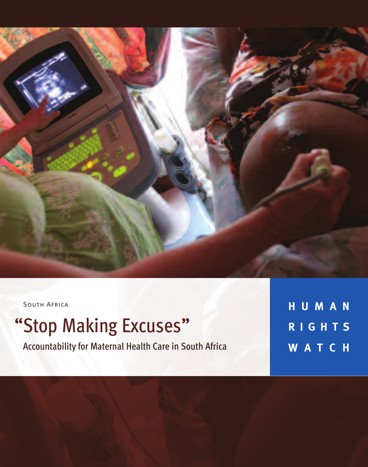

SOUTH AFRICA

## "Stop Making Excuses"

Accountability for Maternal Health Care in South Africa

**H U M A N R I G H T S W A T C H**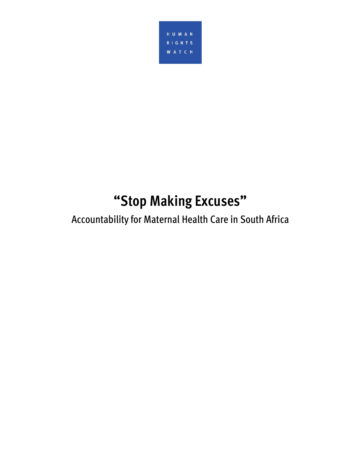

# **Accountability for Maternal Health Care in South Africa**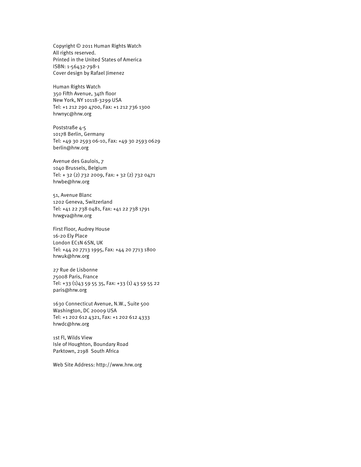Copyright © 2011 Human Rights Watch All rights reserved. Printed in the United States of America ISBN: 1-56432-798-1 Cover design by Rafael Jimenez

Human Rights Watch 350 Fifth Avenue, 34th floor New York, NY 10118-3299 USA Tel: +1 212 290 4700, Fax: +1 212 736 1300 hrwnyc@hrw.org

Poststraße 4-5 10178 Berlin, Germany Tel: +49 30 2593 06-10, Fax: +49 30 2593 0629 berlin@hrw.org

Avenue des Gaulois, 7 1040 Brussels, Belgium Tel: + 32 (2) 732 2009, Fax: + 32 (2) 732 0471 hrwbe@hrw.org

51, Avenue Blanc 1202 Geneva, Switzerland Tel: +41 22 738 0481, Fax: +41 22 738 1791 hrwgva@hrw.org

First Floor, Audrey House 16-20 Ely Place London EC1N 6SN, UK Tel: +44 20 7713 1995, Fax: +44 20 7713 1800 hrwuk@hrw.org

27 Rue de Lisbonne 75008 Paris, France Tel: +33 (1)43 59 55 35, Fax: +33 (1) 43 59 55 22 paris@hrw.org

1630 Connecticut Avenue, N.W., Suite 500 Washington, DC 20009 USA Tel: +1 202 612 4321, Fax: +1 202 612 4333 hrwdc@hrw.org

1st Fl, Wilds View Isle of Houghton, Boundary Road Parktown, 2198 South Africa

Web Site Address: http://www.hrw.org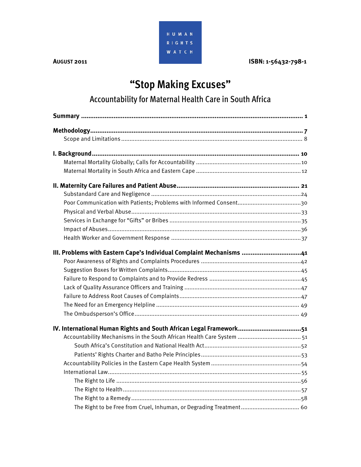

**AUGUST 2011 ISBN: 1-56432-798-1** 

## **"Stop Making Excuses"**  Accountability for Maternal Health Care in South Africa

| III. Problems with Eastern Cape's Individual Complaint Mechanisms 41 |
|----------------------------------------------------------------------|
|                                                                      |
|                                                                      |
|                                                                      |
|                                                                      |
|                                                                      |
|                                                                      |
|                                                                      |
| IV. International Human Rights and South African Legal Framework51   |
|                                                                      |
|                                                                      |
|                                                                      |
|                                                                      |
|                                                                      |
|                                                                      |
|                                                                      |
|                                                                      |
|                                                                      |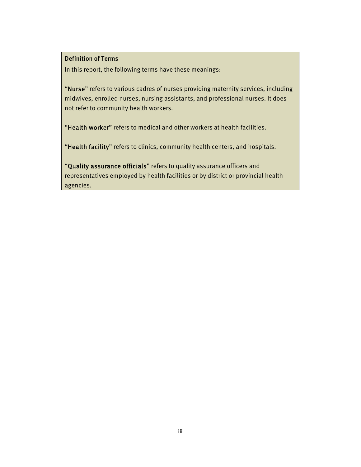Definition of Terms In this report, the following terms have these meanings:

"Nurse" refers to various cadres of nurses providing maternity services, including midwives, enrolled nurses, nursing assistants, and professional nurses. It does not refer to community health workers.

"Health worker" refers to medical and other workers at health facilities.

"Health facility" refers to clinics, community health centers, and hospitals.

"Quality assurance officials" refers to quality assurance officers and representatives employed by health facilities or by district or provincial health agencies.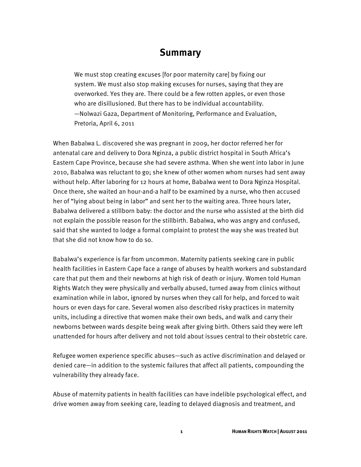#### **Summary**

We must stop creating excuses [for poor maternity care] by fixing our system. We must also stop making excuses for nurses, saying that they are overworked. Yes they are. There could be a few rotten apples, or even those who are disillusioned. But there has to be individual accountability. —Nolwazi Gaza, Department of Monitoring, Performance and Evaluation, Pretoria, April 6, 2011

When Babalwa L. discovered she was pregnant in 2009, her doctor referred her for antenatal care and delivery to Dora Nginza, a public district hospital in South Africa's Eastern Cape Province, because she had severe asthma. When she went into labor in June 2010, Babalwa was reluctant to go; she knew of other women whom nurses had sent away without help. After laboring for 12 hours at home, Babalwa went to Dora Nginza Hospital. Once there, she waited an hour-and-a half to be examined by a nurse, who then accused her of "lying about being in labor" and sent her to the waiting area. Three hours later, Babalwa delivered a stillborn baby: the doctor and the nurse who assisted at the birth did not explain the possible reason for the stillbirth. Babalwa, who was angry and confused, said that she wanted to lodge a formal complaint to protest the way she was treated but that she did not know how to do so.

Babalwa's experience is far from uncommon. Maternity patients seeking care in public health facilities in Eastern Cape face a range of abuses by health workers and substandard care that put them and their newborns at high risk of death or injury. Women told Human Rights Watch they were physically and verbally abused, turned away from clinics without examination while in labor, ignored by nurses when they call for help, and forced to wait hours or even days for care. Several women also described risky practices in maternity units, including a directive that women make their own beds, and walk and carry their newborns between wards despite being weak after giving birth. Others said they were left unattended for hours after delivery and not told about issues central to their obstetric care.

Refugee women experience specific abuses—such as active discrimination and delayed or denied care—in addition to the systemic failures that affect all patients, compounding the vulnerability they already face.

Abuse of maternity patients in health facilities can have indelible psychological effect, and drive women away from seeking care, leading to delayed diagnosis and treatment, and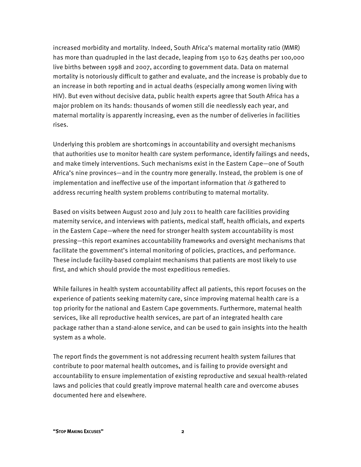increased morbidity and mortality. Indeed, South Africa's maternal mortality ratio (MMR) has more than quadrupled in the last decade, leaping from 150 to 625 deaths per 100,000 live births between 1998 and 2007, according to government data. Data on maternal mortality is notoriously difficult to gather and evaluate, and the increase is probably due to an increase in both reporting and in actual deaths (especially among women living with HIV). But even without decisive data, public health experts agree that South Africa has a major problem on its hands: thousands of women still die needlessly each year, and maternal mortality is apparently increasing, even as the number of deliveries in facilities rises.

Underlying this problem are shortcomings in accountability and oversight mechanisms that authorities use to monitor health care system performance, identify failings and needs, and make timely interventions. Such mechanisms exist in the Eastern Cape—one of South Africa's nine provinces—and in the country more generally. Instead, the problem is one of implementation and ineffective use of the important information that is gathered to address recurring health system problems contributing to maternal mortality.

Based on visits between August 2010 and July 2011 to health care facilities providing maternity service, and interviews with patients, medical staff, health officials, and experts in the Eastern Cape—where the need for stronger health system accountability is most pressing—this report examines accountability frameworks and oversight mechanisms that facilitate the government's internal monitoring of policies, practices, and performance. These include facility-based complaint mechanisms that patients are most likely to use first, and which should provide the most expeditious remedies.

While failures in health system accountability affect all patients, this report focuses on the experience of patients seeking maternity care, since improving maternal health care is a top priority for the national and Eastern Cape governments. Furthermore, maternal health services, like all reproductive health services, are part of an integrated health care package rather than a stand-alone service, and can be used to gain insights into the health system as a whole.

The report finds the government is not addressing recurrent health system failures that contribute to poor maternal health outcomes, and is failing to provide oversight and accountability to ensure implementation of existing reproductive and sexual health-related laws and policies that could greatly improve maternal health care and overcome abuses documented here and elsewhere.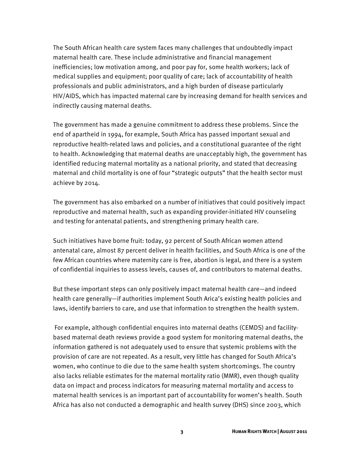The South African health care system faces many challenges that undoubtedly impact maternal health care. These include administrative and financial management inefficiencies; low motivation among, and poor pay for, some health workers; lack of medical supplies and equipment; poor quality of care; lack of accountability of health professionals and public administrators, and a high burden of disease particularly HIV/AIDS, which has impacted maternal care by increasing demand for health services and indirectly causing maternal deaths.

The government has made a genuine commitment to address these problems. Since the end of apartheid in 1994, for example, South Africa has passed important sexual and reproductive health-related laws and policies, and a constitutional guarantee of the right to health. Acknowledging that maternal deaths are unacceptably high, the government has identified reducing maternal mortality as a national priority, and stated that decreasing maternal and child mortality is one of four "strategic outputs" that the health sector must achieve by 2014.

The government has also embarked on a number of initiatives that could positively impact reproductive and maternal health, such as expanding provider-initiated HIV counseling and testing for antenatal patients, and strengthening primary health care.

Such initiatives have borne fruit: today, 92 percent of South African women attend antenatal care, almost 87 percent deliver in health facilities, and South Africa is one of the few African countries where maternity care is free, abortion is legal, and there is a system of confidential inquiries to assess levels, causes of, and contributors to maternal deaths.

But these important steps can only positively impact maternal health care—and indeed health care generally—if authorities implement South Arica's existing health policies and laws, identify barriers to care, and use that information to strengthen the health system.

 For example, although confidential enquires into maternal deaths (CEMDS) and facilitybased maternal death reviews provide a good system for monitoring maternal deaths, the information gathered is not adequately used to ensure that systemic problems with the provision of care are not repeated. As a result, very little has changed for South Africa's women, who continue to die due to the same health system shortcomings. The country also lacks reliable estimates for the maternal mortality ratio (MMR), even though quality data on impact and process indicators for measuring maternal mortality and access to maternal health services is an important part of accountability for women's health. South Africa has also not conducted a demographic and health survey (DHS) since 2003, which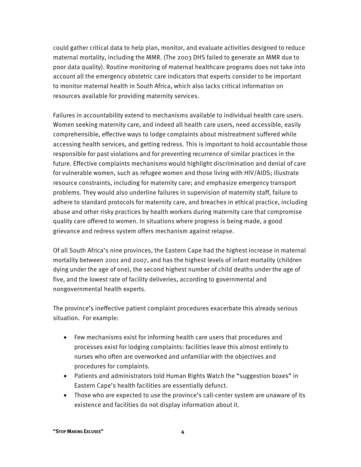could gather critical data to help plan, monitor, and evaluate activities designed to reduce maternal mortality, including the MMR. (The 2003 DHS failed to generate an MMR due to poor data quality). Routine monitoring of maternal healthcare programs does not take into account all the emergency obstetric care indicators that experts consider to be important to monitor maternal health in South Africa, which also lacks critical information on resources available for providing maternity services.

Failures in accountability extend to mechanisms available to individual health care users. Women seeking maternity care, and indeed all health care users, need accessible, easily comprehensible, effective ways to lodge complaints about mistreatment suffered while accessing health services, and getting redress. This is important to hold accountable those responsible for past violations and for preventing recurrence of similar practices in the future. Effective complaints mechanisms would highlight discrimination and denial of care for vulnerable women, such as refugee women and those living with HIV/AIDS; illustrate resource constraints, including for maternity care; and emphasize emergency transport problems. They would also underline failures in supervision of maternity staff, failure to adhere to standard protocols for maternity care, and breaches in ethical practice, including abuse and other risky practices by health workers during maternity care that compromise quality care offered to women. In situations where progress is being made, a good grievance and redress system offers mechanism against relapse.

Of all South Africa's nine provinces, the Eastern Cape had the highest increase in maternal mortality between 2001 and 2007, and has the highest levels of infant mortality (children dying under the age of one), the second highest number of child deaths under the age of five, and the lowest rate of facility deliveries, according to governmental and nongovernmental health experts.

The province's ineffective patient complaint procedures exacerbate this already serious situation. For example:

- Few mechanisms exist for informing health care users that procedures and processes exist for lodging complaints: facilities leave this almost entirely to nurses who often are overworked and unfamiliar with the objectives and procedures for complaints.
- Patients and administrators told Human Rights Watch the "suggestion boxes" in Eastern Cape's health facilities are essentially defunct.
- Those who are expected to use the province's call-center system are unaware of its existence and facilities do not display information about it.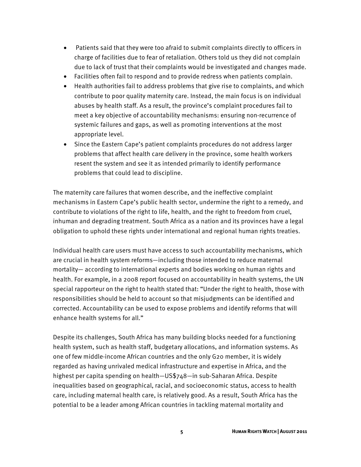- Patients said that they were too afraid to submit complaints directly to officers in charge of facilities due to fear of retaliation. Others told us they did not complain due to lack of trust that their complaints would be investigated and changes made.
- Facilities often fail to respond and to provide redress when patients complain.
- Health authorities fail to address problems that give rise to complaints, and which contribute to poor quality maternity care. Instead, the main focus is on individual abuses by health staff. As a result, the province's complaint procedures fail to meet a key objective of accountability mechanisms: ensuring non-recurrence of systemic failures and gaps, as well as promoting interventions at the most appropriate level.
- Since the Eastern Cape's patient complaints procedures do not address larger problems that affect health care delivery in the province, some health workers resent the system and see it as intended primarily to identify performance problems that could lead to discipline.

The maternity care failures that women describe, and the ineffective complaint mechanisms in Eastern Cape's public health sector, undermine the right to a remedy, and contribute to violations of the right to life, health, and the right to freedom from cruel, inhuman and degrading treatment. South Africa as a nation and its provinces have a legal obligation to uphold these rights under international and regional human rights treaties.

Individual health care users must have access to such accountability mechanisms, which are crucial in health system reforms—including those intended to reduce maternal mortality— according to international experts and bodies working on human rights and health. For example, in a 2008 report focused on accountability in health systems, the UN special rapporteur on the right to health stated that: "Under the right to health, those with responsibilities should be held to account so that misjudgments can be identified and corrected. Accountability can be used to expose problems and identify reforms that will enhance health systems for all."

Despite its challenges, South Africa has many building blocks needed for a functioning health system, such as health staff, budgetary allocations, and information systems. As one of few middle-income African countries and the only G20 member, it is widely regarded as having unrivaled medical infrastructure and expertise in Africa, and the highest per capita spending on health—US\$748—in sub-Saharan Africa. Despite inequalities based on geographical, racial, and socioeconomic status, access to health care, including maternal health care, is relatively good. As a result, South Africa has the potential to be a leader among African countries in tackling maternal mortality and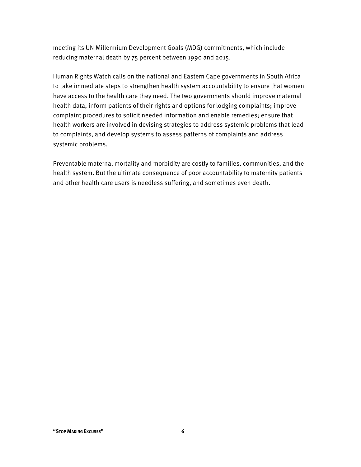meeting its UN Millennium Development Goals (MDG) commitments, which include reducing maternal death by 75 percent between 1990 and 2015.

Human Rights Watch calls on the national and Eastern Cape governments in South Africa to take immediate steps to strengthen health system accountability to ensure that women have access to the health care they need. The two governments should improve maternal health data, inform patients of their rights and options for lodging complaints; improve complaint procedures to solicit needed information and enable remedies; ensure that health workers are involved in devising strategies to address systemic problems that lead to complaints, and develop systems to assess patterns of complaints and address systemic problems.

Preventable maternal mortality and morbidity are costly to families, communities, and the health system. But the ultimate consequence of poor accountability to maternity patients and other health care users is needless suffering, and sometimes even death.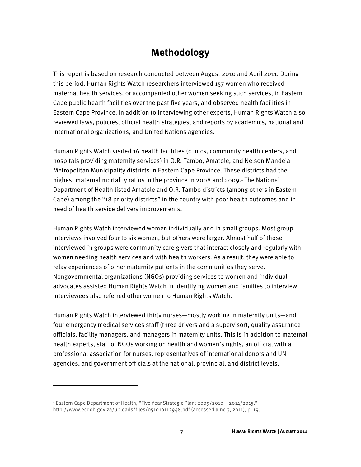### **Methodology**

This report is based on research conducted between August 2010 and April 2011. During this period, Human Rights Watch researchers interviewed 157 women who received maternal health services, or accompanied other women seeking such services, in Eastern Cape public health facilities over the past five years, and observed health facilities in Eastern Cape Province. In addition to interviewing other experts, Human Rights Watch also reviewed laws, policies, official health strategies, and reports by academics, national and international organizations, and United Nations agencies.

Human Rights Watch visited 16 health facilities (clinics, community health centers, and hospitals providing maternity services) in O.R. Tambo, Amatole, and Nelson Mandela Metropolitan Municipality districts in Eastern Cape Province. These districts had the highest maternal mortality ratios in the province in 2008 and 2009.<sup>1</sup> The National Department of Health listed Amatole and O.R. Tambo districts (among others in Eastern Cape) among the "18 priority districts" in the country with poor health outcomes and in need of health service delivery improvements.

Human Rights Watch interviewed women individually and in small groups. Most group interviews involved four to six women, but others were larger. Almost half of those interviewed in groups were community care givers that interact closely and regularly with women needing health services and with health workers. As a result, they were able to relay experiences of other maternity patients in the communities they serve. Nongovernmental organizations (NGOs) providing services to women and individual advocates assisted Human Rights Watch in identifying women and families to interview. Interviewees also referred other women to Human Rights Watch.

Human Rights Watch interviewed thirty nurses—mostly working in maternity units—and four emergency medical services staff (three drivers and a supervisor), quality assurance officials, facility managers, and managers in maternity units. This is in addition to maternal health experts, staff of NGOs working on health and women's rights, an official with a professional association for nurses, representatives of international donors and UN agencies, and government officials at the national, provincial, and district levels.

-

<sup>1</sup> Eastern Cape Department of Health, "Five Year Strategic Plan: 2009/2010 – 2014/2015," http://www.ecdoh.gov.za/uploads/files/051010112948.pdf (accessed June 3, 2011), p. 19.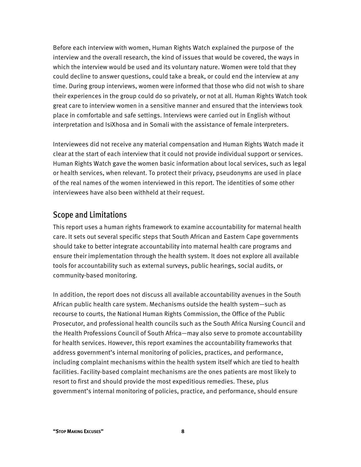Before each interview with women, Human Rights Watch explained the purpose of the interview and the overall research, the kind of issues that would be covered, the ways in which the interview would be used and its voluntary nature. Women were told that they could decline to answer questions, could take a break, or could end the interview at any time. During group interviews, women were informed that those who did not wish to share their experiences in the group could do so privately, or not at all. Human Rights Watch took great care to interview women in a sensitive manner and ensured that the interviews took place in comfortable and safe settings. Interviews were carried out in English without interpretation and IsiXhosa and in Somali with the assistance of female interpreters.

Interviewees did not receive any material compensation and Human Rights Watch made it clear at the start of each interview that it could not provide individual support or services. Human Rights Watch gave the women basic information about local services, such as legal or health services, when relevant. To protect their privacy, pseudonyms are used in place of the real names of the women interviewed in this report. The identities of some other interviewees have also been withheld at their request.

#### Scope and Limitations

This report uses a human rights framework to examine accountability for maternal health care. It sets out several specific steps that South African and Eastern Cape governments should take to better integrate accountability into maternal health care programs and ensure their implementation through the health system. It does not explore all available tools for accountability such as external surveys, public hearings, social audits, or community-based monitoring.

In addition, the report does not discuss all available accountability avenues in the South African public health care system. Mechanisms outside the health system—such as recourse to courts, the National Human Rights Commission, the Office of the Public Prosecutor, and professional health councils such as the South Africa Nursing Council and the Health Professions Council of South Africa—may also serve to promote accountability for health services. However, this report examines the accountability frameworks that address government's internal monitoring of policies, practices, and performance, including complaint mechanisms within the health system itself which are tied to health facilities. Facility-based complaint mechanisms are the ones patients are most likely to resort to first and should provide the most expeditious remedies. These, plus government's internal monitoring of policies, practice, and performance, should ensure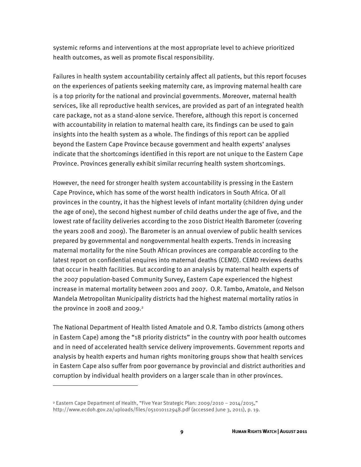systemic reforms and interventions at the most appropriate level to achieve prioritized health outcomes, as well as promote fiscal responsibility.

Failures in health system accountability certainly affect all patients, but this report focuses on the experiences of patients seeking maternity care, as improving maternal health care is a top priority for the national and provincial governments. Moreover, maternal health services, like all reproductive health services, are provided as part of an integrated health care package, not as a stand-alone service. Therefore, although this report is concerned with accountability in relation to maternal health care, its findings can be used to gain insights into the health system as a whole. The findings of this report can be applied beyond the Eastern Cape Province because government and health experts' analyses indicate that the shortcomings identified in this report are not unique to the Eastern Cape Province. Provinces generally exhibit similar recurring health system shortcomings.

However, the need for stronger health system accountability is pressing in the Eastern Cape Province, which has some of the worst health indicators in South Africa. Of all provinces in the country, it has the highest levels of infant mortality (children dying under the age of one), the second highest number of child deaths under the age of five, and the lowest rate of facility deliveries according to the 2010 District Health Barometer (covering the years 2008 and 2009). The Barometer is an annual overview of public health services prepared by governmental and nongovernmental health experts. Trends in increasing maternal mortality for the nine South African provinces are comparable according to the latest report on confidential enquires into maternal deaths (CEMD). CEMD reviews deaths that occur in health facilities. But according to an analysis by maternal health experts of the 2007 population-based Community Survey, Eastern Cape experienced the highest increase in maternal mortality between 2001 and 2007. O.R. Tambo, Amatole, and Nelson Mandela Metropolitan Municipality districts had the highest maternal mortality ratios in the province in 2008 and 2009. $2$ 

The National Department of Health listed Amatole and O.R. Tambo districts (among others in Eastern Cape) among the "18 priority districts" in the country with poor health outcomes and in need of accelerated health service delivery improvements. Government reports and analysis by health experts and human rights monitoring groups show that health services in Eastern Cape also suffer from poor governance by provincial and district authorities and corruption by individual health providers on a larger scale than in other provinces.

-

<sup>2</sup> Eastern Cape Department of Health, "Five Year Strategic Plan: 2009/2010 – 2014/2015," http://www.ecdoh.gov.za/uploads/files/051010112948.pdf (accessed June 3, 2011), p. 19.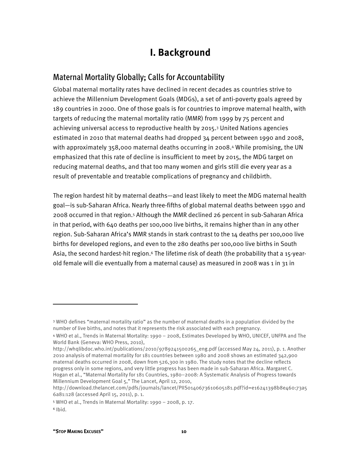### **I. Background**

#### Maternal Mortality Globally; Calls for Accountability

Global maternal mortality rates have declined in recent decades as countries strive to achieve the Millennium Development Goals (MDGs), a set of anti-poverty goals agreed by 189 countries in 2000. One of those goals is for countries to improve maternal health, with targets of reducing the maternal mortality ratio (MMR) from 1999 by 75 percent and achieving universal access to reproductive health by 2015.3 United Nations agencies estimated in 2010 that maternal deaths had dropped 34 percent between 1990 and 2008, with approximately 358,000 maternal deaths occurring in 2008.4 While promising, the UN emphasized that this rate of decline is insufficient to meet by 2015, the MDG target on reducing maternal deaths, and that too many women and girls still die every year as a result of preventable and treatable complications of pregnancy and childbirth.

The region hardest hit by maternal deaths—and least likely to meet the MDG maternal health goal—is sub-Saharan Africa. Nearly three-fifths of global maternal deaths between 1990 and 2008 occurred in that region.5 Although the MMR declined 26 percent in sub-Saharan Africa in that period, with 640 deaths per 100,000 live births, it remains higher than in any other region. Sub-Saharan Africa's MMR stands in stark contrast to the 14 deaths per 100,000 live births for developed regions, and even to the 280 deaths per 100,000 live births in South Asia, the second hardest-hit region.6 The lifetime risk of death (the probability that a 15-yearold female will die eventually from a maternal cause) as measured in 2008 was 1 in 31 in

<sup>3</sup> WHO defines "maternal mortality ratio" as the number of maternal deaths in a population divided by the number of live births, and notes that it represents the risk associated with each pregnancy.

<sup>4</sup> WHO et al., Trends in Maternal Mortality: 1990 – 2008, Estimates Developed by WHO, UNICEF, UNFPA and The World Bank (Geneva: WHO Press, 2010),

http://whqlibdoc.who.int/publications/2010/9789241500265\_eng.pdf (accessed May 24, 2011), p. 1. Another 2010 analysis of maternal mortality for 181 countries between 1980 and 2008 shows an estimated 342,900 maternal deaths occurred in 2008, down from 526,300 in 1980. The study notes that the decline reflects progress only in some regions, and very little progress has been made in sub-Saharan Africa. Margaret C. Hogan et al., "Maternal Mortality for 181 Countries, 1980–2008: A Systematic Analysis of Progress towards Millennium Development Goal 5," The Lancet, April 12, 2010,

http://download.thelancet.com/pdfs/journals/lancet/PIIS0140673610605181.pdf?id=e16241398b8e460:73a5 6a81:128 (accessed April 15, 2011), p. 1.

<sup>5</sup> WHO et al., Trends in Maternal Mortality: 1990 – 2008, p. 17.

 $6$  Ibid.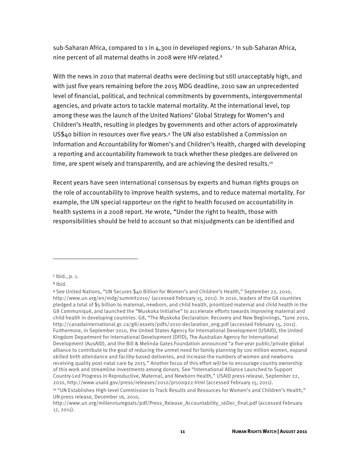sub-Saharan Africa, compared to 1 in 4,300 in developed regions.7 In sub-Saharan Africa, nine percent of all maternal deaths in 2008 were HIV-related.8

With the news in 2010 that maternal deaths were declining but still unacceptably high, and with just five years remaining before the 2015 MDG deadline, 2010 saw an unprecedented level of financial, political, and technical commitments by governments, intergovernmental agencies, and private actors to tackle maternal mortality. At the international level, top among these was the launch of the United Nations' Global Strategy for Women's and Children's Health, resulting in pledges by governments and other actors of approximately US\$40 billion in resources over five years.9 The UN also established a Commission on Information and Accountability for Women's and Children's Health, charged with developing a reporting and accountability framework to track whether these pledges are delivered on time, are spent wisely and transparently, and are achieving the desired results.10

Recent years have seen international consensus by experts and human rights groups on the role of accountability to improve health systems, and to reduce maternal mortality. For example, the UN special rapporteur on the right to health focused on accountability in health systems in a 2008 report. He wrote, "Under the right to health, those with responsibilities should be held to account so that misjudgments can be identified and

<sup>7</sup> Ibid., p. 1.

<sup>8</sup> Ibid.

<sup>9</sup> See United Nations, "UN Secures \$40 Billion for Women's and Children's Health," September 22, 2010, http://www.un.org/en/mdg/summit2010/ (accessed February 15, 2011). In 2010, leaders of the G8 countries pledged a total of \$5 billion to maternal, newborn, and child health, prioritized maternal and child health in the G8 Communiqué, and launched the "Muskoka Initiative" to accelerate efforts towards improving maternal and child health in developing countries. G8, "The Muskoka Declaration: Recovery and New Beginnings, "June 2010, http://canadainternational.gc.ca/g8/assets/pdfs/2010-declaration\_eng.pdf (accessed February 15, 2011). Furthermore, in September 2010, the United States Agency for International Development (USAID), the United Kingdom Department for International Development (DFID), The Australian Agency for International Development (AusAID), and the Bill & Melinda Gates Foundation announced "a five-year public/private global alliance to contribute to the goal of reducing the unmet need for family planning by 100 million women, expand skilled birth attendance and facility-based deliveries, and increase the numbers of women and newborns receiving quality post-natal care by 2015." Another focus of this effort will be to encourage country ownership of this work and streamline investments among donors. See "International Alliance Launched to Support Country-Led Progress in Reproductive, Maternal, and Newborn Health," USAID press release, September 22, 2010, http://www.usaid.gov/press/releases/2010/pr100922.html (accessed February 15, 2011).

<sup>10 &</sup>quot;UN Establishes High-level Commission to Track Results and Resources for Women's and Children's Health," UN press release, December 16, 2010,

http://www.un.org/millenniumgoals/pdf/Press\_Release\_Accountability\_16Dec\_final.pdf (accessed February 17, 2011).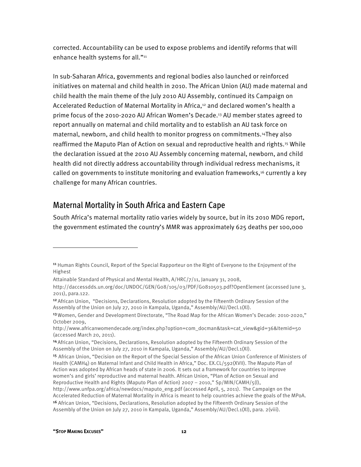corrected. Accountability can be used to expose problems and identify reforms that will enhance health systems for all."<sup>11</sup>

In sub-Saharan Africa, governments and regional bodies also launched or reinforced initiatives on maternal and child health in 2010. The African Union (AU) made maternal and child health the main theme of the July 2010 AU Assembly, continued its Campaign on Accelerated Reduction of Maternal Mortality in Africa,<sup>12</sup> and declared women's health a prime focus of the 2010-2020 AU African Women's Decade.13 AU member states agreed to report annually on maternal and child mortality and to establish an AU task force on maternal, newborn, and child health to monitor progress on commitments.14They also reaffirmed the Maputo Plan of Action on sexual and reproductive health and rights.15 While the declaration issued at the 2010 AU Assembly concerning maternal, newborn, and child health did not directly address accountability through individual redress mechanisms, it called on governments to institute monitoring and evaluation frameworks,<sup>16</sup> currently a key challenge for many African countries.

#### Maternal Mortality in South Africa and Eastern Cape

South Africa's maternal mortality ratio varies widely by source, but in its 2010 MDG report, the government estimated the country's MMR was approximately 625 deaths per 100,000

<sup>&</sup>lt;sup>11</sup> Human Rights Council, Report of the Special Rapporteur on the Right of Everyone to the Enjoyment of the Highest

Attainable Standard of Physical and Mental Health, A/HRC/7/11, January 31, 2008,

http://daccessdds.un.org/doc/UNDOC/GEN/G08/105/03/PDF/G0810503.pdf?OpenElement (accessed June 3, 2011), para.122.

<sup>&</sup>lt;sup>12</sup> African Union, "Decisions, Declarations, Resolution adopted by the Fifteenth Ordinary Session of the Assembly of the Union on July 27, 2010 in Kampala, Uganda," Assembly/AU/Decl.1(XI).

<sup>13</sup>Women, Gender and Development Directorate, "The Road Map for the African Women's Decade: 2010-2020," October 2009,

http://www.africanwomendecade.org/index.php?option=com\_docman&task=cat\_view&gid=36&Itemid=50 (accessed March 20, 2011).

<sup>14</sup>African Union, "Decisions, Declarations, Resolution adopted by the Fifteenth Ordinary Session of the Assembly of the Union on July 27, 2010 in Kampala, Uganda," Assembly/AU/Decl.1(XI).

<sup>15</sup>African Union, "Decision on the Report of the Special Session of the African Union Conference of Ministers of Health (CAMH4) on Maternal Infant and Child Health in Africa," Doc. EX.CL/592(XVII). The Maputo Plan of Action was adopted by African heads of state in 2006. It sets out a framework for countries to improve women's and girls' reproductive and maternal health. African Union, "Plan of Action on Sexual and Reproductive Health and Rights (Maputo Plan of Action) 2007 – 2010," Sp/MIN/CAMH/5(I), http://www.unfpa.org/africa/newdocs/maputo\_eng.pdf (accessed April, 5, 2011). The Campaign on the

Accelerated Reduction of Maternal Mortality in Africa is meant to help countries achieve the goals of the MPoA.

<sup>16</sup> African Union, "Decisions, Declarations, Resolution adopted by the Fifteenth Ordinary Session of the Assembly of the Union on July 27, 2010 in Kampala, Uganda," Assembly/AU/Decl.1(XI), para. 2(viii).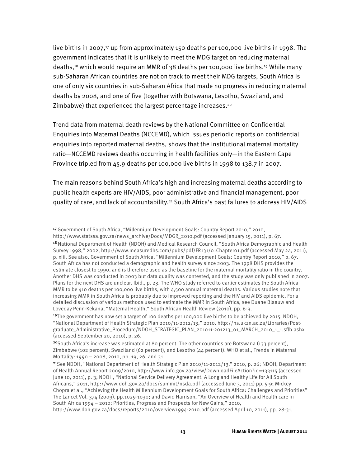live births in 2007,<sup>17</sup> up from approximately 150 deaths per 100,000 live births in 1998. The government indicates that it is unlikely to meet the MDG target on reducing maternal deaths,18 which would require an MMR of 38 deaths per 100,000 live births.19 While many sub-Saharan African countries are not on track to meet their MDG targets, South Africa is one of only six countries in sub-Saharan Africa that made no progress in reducing maternal deaths by 2008, and one of five (together with Botswana, Lesotho, Swaziland, and Zimbabwe) that experienced the largest percentage increases.20

Trend data from maternal death reviews by the National Committee on Confidential Enquiries into Maternal Deaths (NCCEMD), which issues periodic reports on confidential enquiries into reported maternal deaths, shows that the institutional maternal mortality ratio—NCCEMD reviews deaths occurring in health facilities only—in the Eastern Cape Province tripled from 45.9 deaths per 100,000 live births in 1998 to 138.7 in 2007.

The main reasons behind South Africa's high and increasing maternal deaths according to public health experts are HIV/AIDS, poor administrative and financial management, poor quality of care, and lack of accountability.21 South Africa's past failures to address HIV/AIDS

<sup>17</sup>Government of South Africa, "Millennium Development Goals: Country Report 2010," 2010,

http://www.statssa.gov.za/news\_archive/Docs/MDGR\_2010.pdf (accessed January 15, 2011), p. 67.

<sup>&</sup>lt;sup>18</sup> National Department of Health (NDOH) and Medical Research Council, "South Africa Demographic and Health Survey 1998," 2002, http://www.measuredhs.com/pubs/pdf/FR131/01Chapter01.pdf (accessed May 24, 2011), p. xiii. See also, Government of South Africa, "Millennium Development Goals: Country Report 2010," p. 67. South Africa has not conducted a demographic and health survey since 2003. The 1998 DHS provides the estimate closest to 1990, and is therefore used as the baseline for the maternal mortality ratio in the country. Another DHS was conducted in 2003 but data quality was contested, and the study was only published in 2007. Plans for the next DHS are unclear. Ibid., p. 23. The WHO study referred to earlier estimates the South Africa MMR to be 410 deaths per 100,000 live births, with 4,500 annual maternal deaths. Various studies note that increasing MMR in South Africa is probably due to improved reporting and the HIV and AIDS epidemic. For a detailed discussion of various methods used to estimate the MMR in South Africa, see Duane Blaauw and Loveday Penn-Kekana, "Maternal Health," South African Health Review (2010), pp. 6-9.

<sup>19</sup>The government has now set a target of 100 deaths per 100,000 live births to be achieved by 2015. NDOH, "National Department of Health Strategic Plan 2010/11-2012/13," 2010, http://hs.ukzn.ac.za/Libraries/Postgraduate\_Administrative\_Procedure/NDOH\_STRATEGIC\_PLAN\_201011-201213\_01\_MARCH\_2010\_1\_1.sflb.ashx (accessed September 20, 2010), p. 26.

<sup>20</sup>South Africa's increase was estimated at 80 percent. The other countries are Botswana (133 percent), Zimbabwe (102 percent), Swaziland (62 percent), and Lesotho (44 percent). WHO et al., Trends in Maternal Mortality: 1990 – 2008, 2010, pp. 19, 26, and 31.

<sup>21</sup>See NDOH, "National Department of Health Strategic Plan 2010/11-2012/13," 2010, p. 26; NDOH, Department of Health Annual Report 2009/2010, http://www.info.gov.za/view/DownloadFileAction?id=133115 (accessed June 10, 2011), p. 3; NDOH, "National Service Delivery Agreement: A Long and Healthy Life for All South Africans," 2011, http://www.doh.gov.za/docs/summit/nsda.pdf (accessed June 3, 2011) pp. 5-9; Mickey Chopra et al., "Achieving the Health Millennium Development Goals for South Africa: Challenges and Priorities" The Lancet Vol. 374 (2009), pp.1029-1030; and David Harrison, "An Overview of Health and Health care in South Africa 1994 – 2010: Priorities, Progress and Prospects for New Gains," 2010,

http://www.doh.gov.za/docs/reports/2010/overview1994-2010.pdf (accessed April 10, 2011), pp. 28-31.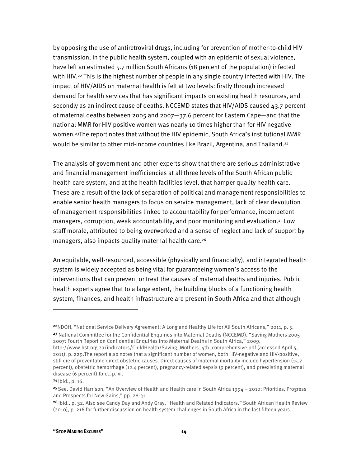by opposing the use of antiretroviral drugs, including for prevention of mother-to-child HIV transmission, in the public health system, coupled with an epidemic of sexual violence, have left an estimated 5.7 million South Africans (18 percent of the population) infected with HIV.22 This is the highest number of people in any single country infected with HIV. The impact of HIV/AIDS on maternal health is felt at two levels: firstly through increased demand for health services that has significant impacts on existing health resources, and secondly as an indirect cause of deaths. NCCEMD states that HIV/AIDS caused 43.7 percent of maternal deaths between 2005 and 2007—37.6 percent for Eastern Cape—and that the national MMR for HIV positive women was nearly 10 times higher than for HIV negative women.23The report notes that without the HIV epidemic, South Africa's institutional MMR would be similar to other mid-income countries like Brazil, Argentina, and Thailand.<sup>24</sup>

The analysis of government and other experts show that there are serious administrative and financial management inefficiencies at all three levels of the South African public health care system, and at the health facilities level, that hamper quality health care. These are a result of the lack of separation of political and management responsibilities to enable senior health managers to focus on service management, lack of clear devolution of management responsibilities linked to accountability for performance, incompetent managers, corruption, weak accountability, and poor monitoring and evaluation.25 Low staff morale, attributed to being overworked and a sense of neglect and lack of support by managers, also impacts quality maternal health care.<sup>26</sup>

An equitable, well-resourced, accessible (physically and financially), and integrated health system is widely accepted as being vital for guaranteeing women's access to the interventions that can prevent or treat the causes of maternal deaths and injuries. Public health experts agree that to a large extent, the building blocks of a functioning health system, finances, and health infrastructure are present in South Africa and that although

<sup>&</sup>lt;sup>22</sup>NDOH, "National Service Delivery Agreement: A Long and Healthy Life for All South Africans," 2011, p. 5. <sup>23</sup> National Committee for the Confidential Enquiries into Maternal Deaths (NCCEMD), "Saving Mothers 2005-2007: Fourth Report on Confidential Enquiries into Maternal Deaths in South Africa," 2009,

http://www.hst.org.za/indicators/ChildHealth/Saving\_Mothers\_4th\_comprehensive.pdf (accessed April 5, 2011), p. 229.The report also notes that a significant number of women, both HIV-negative and HIV-positive, still die of preventable direct obstetric causes. Direct causes of maternal mortality include hypertension (15.7 percent), obstetric hemorrhage (12.4 percent), pregnancy-related sepsis (9 percent), and preexisting maternal disease (6 percent).Ibid., p. xi.

 $24$  | bid., p. 16.

<sup>&</sup>lt;sup>25</sup> See, David Harrison, "An Overview of Health and Health care in South Africa 1994 – 2010: Priorities, Progress and Prospects for New Gains," pp. 28-31.

<sup>&</sup>lt;sup>26</sup> Ibid., p. 32. Also see Candy Day and Andy Gray, "Health and Related Indicators," South African Health Review (2010), p. 216 for further discussion on health system challenges in South Africa in the last fifteen years.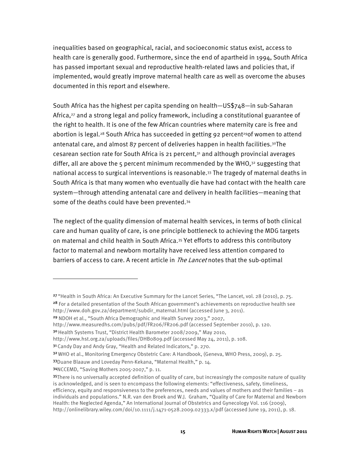inequalities based on geographical, racial, and socioeconomic status exist, access to health care is generally good. Furthermore, since the end of apartheid in 1994, South Africa has passed important sexual and reproductive health-related laws and policies that, if implemented, would greatly improve maternal health care as well as overcome the abuses documented in this report and elsewhere.

South Africa has the highest per capita spending on health—US\$748—in sub-Saharan Africa,27 and a strong legal and policy framework, including a constitutional guarantee of the right to health. It is one of the few African countries where maternity care is free and abortion is legal.<sup>28</sup> South Africa has succeeded in getting 92 percent<sup>29</sup> of women to attend antenatal care, and almost 87 percent of deliveries happen in health facilities.30The cesarean section rate for South Africa is 21 percent, $31$  and although provincial averages differ, all are above the 5 percent minimum recommended by the WHO, $32$  suggesting that national access to surgical interventions is reasonable.33 The tragedy of maternal deaths in South Africa is that many women who eventually die have had contact with the health care system—through attending antenatal care and delivery in health facilities—meaning that some of the deaths could have been prevented.34

The neglect of the quality dimension of maternal health services, in terms of both clinical care and human quality of care, is one principle bottleneck to achieving the MDG targets on maternal and child health in South Africa.35 Yet efforts to address this contributory factor to maternal and newborn mortality have received less attention compared to barriers of access to care. A recent article in *The Lancet* notes that the sub-optimal

<sup>27 &</sup>quot;Health in South Africa: An Executive Summary for the Lancet Series, "The Lancet, vol. 28 (2010), p. 75.

<sup>&</sup>lt;sup>28</sup> For a detailed presentation of the South African government's achievements on reproductive health see http://www.doh.gov.za/department/subdir\_maternal.html (accessed June 3, 2011).

<sup>29</sup> NDOH et al., "South Africa Demographic and Health Survey 2003," 2007,

http://www.measuredhs.com/pubs/pdf/FR206/FR206.pdf (accessed September 2010), p. 120.

<sup>&</sup>lt;sup>30</sup> Health Systems Trust, "District Health Barometer 2008/2009," May 2010,

http://www.hst.org.za/uploads/files/DHB0809.pdf (accessed May 24, 2011), p. 108.

<sup>3&</sup>lt;sup>1</sup> Candy Day and Andy Gray, "Health and Related Indicators," p. 270.

<sup>32</sup> WHO et al., Monitoring Emergency Obstetric Care: A Handbook, (Geneva, WHO Press, 2009), p. 25.

<sup>33</sup>Duane Blaauw and Loveday Penn-Kekana, "Maternal Health," p. 14.

<sup>34</sup>NCCEMD, "Saving Mothers 2005-2007," p. 11.

<sup>35</sup>There is no universally accepted definition of quality of care, but increasingly the composite nature of quality is acknowledged, and is seen to encompass the following elements: "effectiveness, safety, timeliness, efficiency, equity and responsiveness to the preferences, needs and values of mothers and their families – as individuals and populations." N.R. van den Broek and W.J. Graham, "Quality of Care for Maternal and Newborn Health: the Neglected Agenda," An International Journal of Obstetrics and Gynecology Vol. 116 (2009), http://onlinelibrary.wiley.com/doi/10.1111/j.1471-0528.2009.02333.x/pdf (accessed June 19, 2011), p. 18.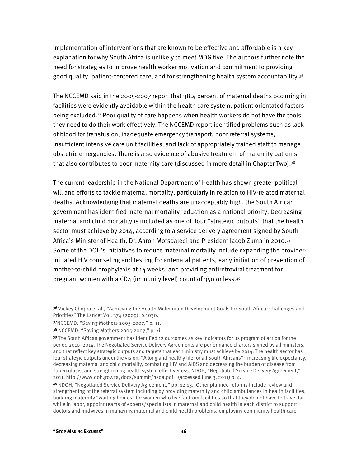implementation of interventions that are known to be effective and affordable is a key explanation for why South Africa is unlikely to meet MDG five. The authors further note the need for strategies to improve health worker motivation and commitment to providing good quality, patient-centered care, and for strengthening health system accountability. $36$ 

The NCCEMD said in the 2005-2007 report that 38.4 percent of maternal deaths occurring in facilities were evidently avoidable within the health care system, patient orientated factors being excluded.37 Poor quality of care happens when health workers do not have the tools they need to do their work effectively. The NCCEMD report identified problems such as lack of blood for transfusion, inadequate emergency transport, poor referral systems, insufficient intensive care unit facilities, and lack of appropriately trained staff to manage obstetric emergencies. There is also evidence of abusive treatment of maternity patients that also contributes to poor maternity care (discussed in more detail in Chapter Two).<sup>38</sup>

The current leadership in the National Department of Health has shown greater political will and efforts to tackle maternal mortality, particularly in relation to HIV-related maternal deaths. Acknowledging that maternal deaths are unacceptably high, the South African government has identified maternal mortality reduction as a national priority. Decreasing maternal and child mortality is included as one of four "strategic outputs" that the health sector must achieve by 2014, according to a service delivery agreement signed by South Africa's Minister of Health, Dr. Aaron Motsoaledi and President Jacob Zuma in 2010.39 Some of the DOH's initiatives to reduce maternal mortality include expanding the providerinitiated HIV counseling and testing for antenatal patients, early initiation of prevention of mother-to-child prophylaxis at 14 weeks, and providing antiretroviral treatment for pregnant women with a CD4 (immunity level) count of 350 or less.40

<sup>36</sup>Mickey Chopra et al., "Achieving the Health Millennium Development Goals for South Africa: Challenges and Priorities" The Lancet Vol. 374 (2009), p.1030.

<sup>37</sup>NCCEMD, "Saving Mothers 2005-2007," p. 11.

<sup>38</sup> NCCEMD, "Saving Mothers 2005-2007," p. xi.

<sup>39</sup>The South African government has identified 12 outcomes as key indicators for its program of action for the period 2010 -2014. The Negotiated Service Delivery Agreements are performance charters signed by all ministers, and that reflect key strategic outputs and targets that each ministry must achieve by 2014. The health sector has four strategic outputs under the vision, "A long and healthy life for all South Africans": increasing life expectancy, decreasing maternal and child mortality, combating HIV and AIDS and decreasing the burden of disease from Tuberculosis, and strengthening health system effectiveness. NDOH, "Negotiated Service Delivery Agreement," 2011, http://www.doh.gov.za/docs/summit/nsda.pdf (accessed June 3, 2011) p. 4.

<sup>40</sup>NDOH, "Negotiated Service Delivery Agreement," pp. 12-13. Other planned reforms include review and strengthening of the referral system including by providing maternity and child ambulances in health facilities, building maternity "waiting homes" for women who live far from facilities so that they do not have to travel far while in labor, appoint teams of experts/specialists in maternal and child health in each district to support doctors and midwives in managing maternal and child health problems, employing community health care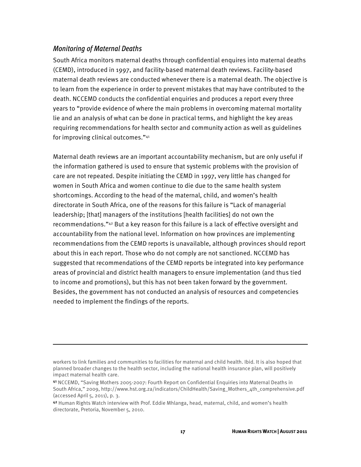#### *Monitoring of Maternal Deaths*

 $\overline{a}$ 

South Africa monitors maternal deaths through confidential enquires into maternal deaths (CEMD), introduced in 1997, and facility-based maternal death reviews. Facility-based maternal death reviews are conducted whenever there is a maternal death. The objective is to learn from the experience in order to prevent mistakes that may have contributed to the death. NCCEMD conducts the confidential enquiries and produces a report every three years to "provide evidence of where the main problems in overcoming maternal mortality lie and an analysis of what can be done in practical terms, and highlight the key areas requiring recommendations for health sector and community action as well as guidelines for improving clinical outcomes."41

Maternal death reviews are an important accountability mechanism, but are only useful if the information gathered is used to ensure that systemic problems with the provision of care are not repeated. Despite initiating the CEMD in 1997, very little has changed for women in South Africa and women continue to die due to the same health system shortcomings. According to the head of the maternal, child, and women's health directorate in South Africa, one of the reasons for this failure is "Lack of managerial leadership; [that] managers of the institutions [health facilities] do not own the recommendations."42 But a key reason for this failure is a lack of effective oversight and accountability from the national level. Information on how provinces are implementing recommendations from the CEMD reports is unavailable, although provinces should report about this in each report. Those who do not comply are not sanctioned. NCCEMD has suggested that recommendations of the CEMD reports be integrated into key performance areas of provincial and district health managers to ensure implementation (and thus tied to income and promotions), but this has not been taken forward by the government. Besides, the government has not conducted an analysis of resources and competencies needed to implement the findings of the reports.

workers to link families and communities to facilities for maternal and child health. Ibid. It is also hoped that planned broader changes to the health sector, including the national health insurance plan, will positively impact maternal health care.

<sup>41</sup> NCCEMD, "Saving Mothers 2005-2007: Fourth Report on Confidential Enquiries into Maternal Deaths in South Africa," 2009, http://www.hst.org.za/indicators/ChildHealth/Saving\_Mothers\_4th\_comprehensive.pdf (accessed April 5, 2011), p. 3.

<sup>42</sup> Human Rights Watch interview with Prof. Eddie Mhlanga, head, maternal, child, and women's health directorate, Pretoria, November 5, 2010.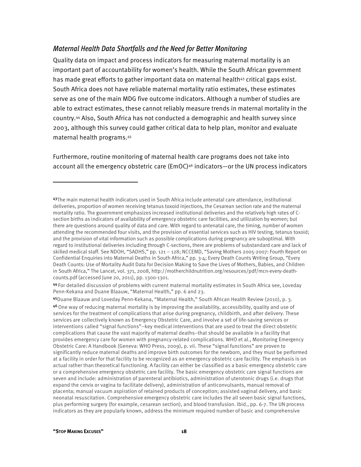#### *Maternal Health Data Shortfalls and the Need for Better Monitoring*

Quality data on impact and process indicators for measuring maternal mortality is an important part of accountability for women's health. While the South African government has made great efforts to gather important data on maternal health<sup>43</sup> critical gaps exist. South Africa does not have reliable maternal mortality ratio estimates, these estimates serve as one of the main MDG five outcome indicators. Although a number of studies are able to extract estimates, these cannot reliably measure trends in maternal mortality in the country.44 Also, South Africa has not conducted a demographic and health survey since 2003, although this survey could gather critical data to help plan, monitor and evaluate maternal health programs.45

Furthermore, routine monitoring of maternal health care programs does not take into account all the emergency obstetric care (EmOC)<sup>46</sup> indicators—or the UN process indicators

44 For detailed discussion of problems with current maternal mortality estimates in South Africa see, Loveday Penn-Kekana and Duane Blaauw, "Maternal Health," pp. 6 and 23.

<sup>45</sup>Duane Blaauw and Loveday Penn-Kekana, "Maternal Health," South African Health Review (2010), p. 3. <sup>46</sup>One way of reducing maternal mortality is by improving the availability, accessibility, quality and use of services for the treatment of complications that arise during pregnancy, childbirth, and after delivery. These services are collectively known as Emergency Obstetric Care, and involve a set of life-saving services or interventions called "signal functions"–key medical interventions that are used to treat the direct obstetric complications that cause the vast majority of maternal deaths–that should be available in a facility that provides emergency care for women with pregnancy-related complications. WHO et al., Monitoring Emergency Obstetric Care: A Handbook (Geneva: WHO Press, 2009), p. vii. These "signal functions" are proven to significantly reduce maternal deaths and improve birth outcomes for the newborn, and they must be performed at a facility in order for that facility to be recognized as an emergency obstetric care facility. The emphasis is on actual rather than theoretical functioning. A facility can either be classified as a basic emergency obstetric care or a comprehensive emergency obstetric care facility. The basic emergency obstetric care signal functions are seven and include: administration of parenteral antibiotics, administration of uterotonic drugs (i.e. drugs that expand the cervix or vagina to facilitate delivery), administration of anticonvulsants, manual removal of placenta; manual vacuum aspiration of retained products of conception; assisted vaginal delivery, and basic neonatal resuscitation. Comprehensive emergency obstetric care includes the all seven basic signal functions, plus performing surgery (for example, cesarean section), and blood transfusion. Ibid., pp. 6-7. The UN process indicators as they are popularly known, address the minimum required number of basic and comprehensive

-

<sup>43</sup>The main maternal health indicators used in South Africa include antenatal care attendance, institutional deliveries, proportion of women receiving tetanus toxoid injections, the Cesarean section rate and the maternal mortality ratio. The government emphasizes increased institutional deliveries and the relatively high rates of Csection births as indicators of availability of emergency obstetric care facilities, and utilization by women; but there are questions around quality of data and care. With regard to antenatal care, the timing, number of women attending the recommended four visits, and the provision of essential services such as HIV testing, tetanus toxoid; and the provision of vital information such as possible complications during pregnancy are suboptimal. With regard to institutional deliveries including through C-sections, there are problems of substandard care and lack of skilled medical staff. See NDOH, "SADHS," pp. 121 – 128; NCCEMD, "Saving Mothers 2005-2007: Fourth Report on Confidential Enquiries into Maternal Deaths in South Africa," pp. 3-4; Every Death Counts Writing Group, "Every Death Counts: Use of Mortality Audit Data for Decision Making to Save the Lives of Mothers, Babies, and Children in South Africa," The Lancet, vol. 371, 2008, http://motherchildnutrition.org/resources/pdf/mcn-every-deathcounts.pdf (accessed June 20, 2011), pp. 1300-1301.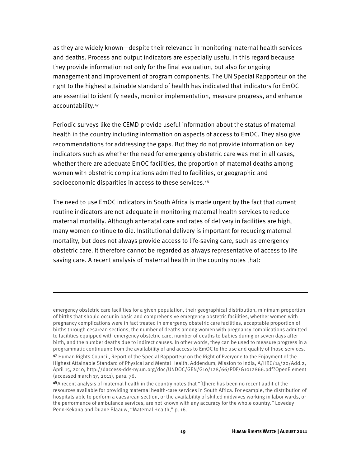as they are widely known—despite their relevance in monitoring maternal health services and deaths. Process and output indicators are especially useful in this regard because they provide information not only for the final evaluation, but also for ongoing management and improvement of program components. The UN Special Rapporteur on the right to the highest attainable standard of health has indicated that indicators for EmOC are essential to identify needs, monitor implementation, measure progress, and enhance accountability.47

Periodic surveys like the CEMD provide useful information about the status of maternal health in the country including information on aspects of access to EmOC. They also give recommendations for addressing the gaps. But they do not provide information on key indicators such as whether the need for emergency obstetric care was met in all cases, whether there are adequate EmOC facilities, the proportion of maternal deaths among women with obstetric complications admitted to facilities, or geographic and socioeconomic disparities in access to these services.<sup>48</sup>

The need to use EmOC indicators in South Africa is made urgent by the fact that current routine indicators are not adequate in monitoring maternal health services to reduce maternal mortality. Although antenatal care and rates of delivery in facilities are high, many women continue to die. Institutional delivery is important for reducing maternal mortality, but does not always provide access to life-saving care, such as emergency obstetric care. It therefore cannot be regarded as always representative of access to life saving care. A recent analysis of maternal health in the country notes that:

emergency obstetric care facilities for a given population, their geographical distribution, minimum proportion of births that should occur in basic and comprehensive emergency obstetric facilities, whether women with pregnancy complications were in fact treated in emergency obstetric care facilities, acceptable proportion of births through cesarean sections, the number of deaths among women with pregnancy complications admitted to facilities equipped with emergency obstetric care, number of deaths to babies during or seven days after birth, and the number deaths due to indirect causes. In other words, they can be used to measure progress in a programmatic continuum: from the availability of and access to EmOC to the use and quality of those services.

<sup>47</sup> Human Rights Council, Report of the Special Rapporteur on the Right of Everyone to the Enjoyment of the Highest Attainable Standard of Physical and Mental Health, Addendum, Mission to India, A/HRC/14/20/Add.2, April 15, 2010, http://daccess-dds-ny.un.org/doc/UNDOC/GEN/G10/128/66/PDF/G1012866.pdf?OpenElement (accessed march 17, 2011), para. 76.

<sup>48</sup>A recent analysis of maternal health in the country notes that "[t]here has been no recent audit of the resources available for providing maternal health-care services in South Africa. For example, the distribution of hospitals able to perform a caesarean section, or the availability of skilled midwives working in labor wards, or the performance of ambulance services, are not known with any accuracy for the whole country." Loveday Penn-Kekana and Duane Blaauw, "Maternal Health," p. 16.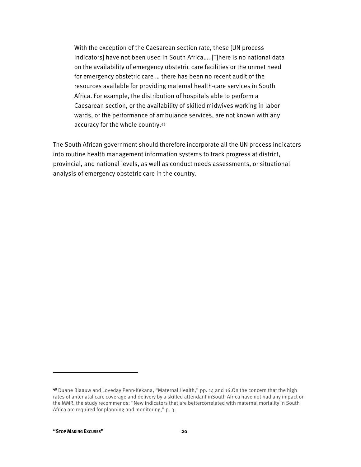With the exception of the Caesarean section rate, these [UN process indicators] have not been used in South Africa…. [T]here is no national data on the availability of emergency obstetric care facilities or the unmet need for emergency obstetric care … there has been no recent audit of the resources available for providing maternal health-care services in South Africa. For example, the distribution of hospitals able to perform a Caesarean section, or the availability of skilled midwives working in labor wards, or the performance of ambulance services, are not known with any accuracy for the whole country.49

The South African government should therefore incorporate all the UN process indicators into routine health management information systems to track progress at district, provincial, and national levels, as well as conduct needs assessments, or situational analysis of emergency obstetric care in the country.

1

<sup>49</sup> Duane Blaauw and Loveday Penn-Kekana, "Maternal Health," pp. 14 and 16.0n the concern that the high rates of antenatal care coverage and delivery by a skilled attendant inSouth Africa have not had any impact on the MMR, the study recommends: "New indicators that are bettercorrelated with maternal mortality in South Africa are required for planning and monitoring," p. 3.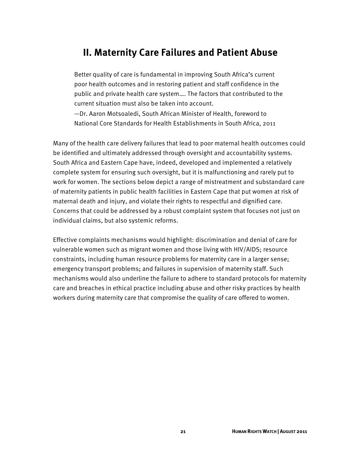#### **II. Maternity Care Failures and Patient Abuse**

Better quality of care is fundamental in improving South Africa's current poor health outcomes and in restoring patient and staff confidence in the public and private health care system…. The factors that contributed to the current situation must also be taken into account.

—Dr. Aaron Motsoaledi, South African Minister of Health, foreword to National Core Standards for Health Establishments in South Africa, 2011

Many of the health care delivery failures that lead to poor maternal health outcomes could be identified and ultimately addressed through oversight and accountability systems. South Africa and Eastern Cape have, indeed, developed and implemented a relatively complete system for ensuring such oversight, but it is malfunctioning and rarely put to work for women. The sections below depict a range of mistreatment and substandard care of maternity patients in public health facilities in Eastern Cape that put women at risk of maternal death and injury, and violate their rights to respectful and dignified care. Concerns that could be addressed by a robust complaint system that focuses not just on individual claims, but also systemic reforms.

Effective complaints mechanisms would highlight: discrimination and denial of care for vulnerable women such as migrant women and those living with HIV/AIDS; resource constraints, including human resource problems for maternity care in a larger sense; emergency transport problems; and failures in supervision of maternity staff. Such mechanisms would also underline the failure to adhere to standard protocols for maternity care and breaches in ethical practice including abuse and other risky practices by health workers during maternity care that compromise the quality of care offered to women.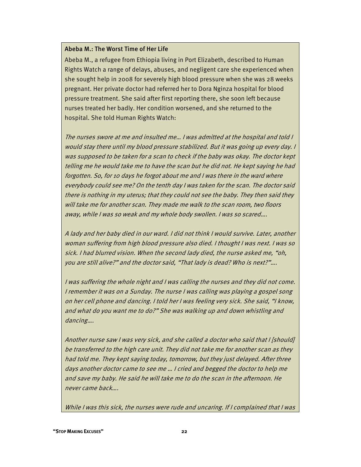#### Abeba M.: The Worst Time of Her Life

Abeba M., a refugee from Ethiopia living in Port Elizabeth, described to Human Rights Watch a range of delays, abuses, and negligent care she experienced when she sought help in 2008 for severely high blood pressure when she was 28 weeks pregnant. Her private doctor had referred her to Dora Nginza hospital for blood pressure treatment. She said after first reporting there, she soon left because nurses treated her badly. Her condition worsened, and she returned to the hospital. She told Human Rights Watch:

The nurses swore at me and insulted me… I was admitted at the hospital and told I would stay there until my blood pressure stabilized. But it was going up every day. I was supposed to be taken for a scan to check if the baby was okay. The doctor kept telling me he would take me to have the scan but he did not. He kept saying he had forgotten. So, for 10 days he forgot about me and I was there in the ward where everybody could see me? On the tenth day I was taken for the scan. The doctor said there is nothing in my uterus; that they could not see the baby. They then said they will take me for another scan. They made me walk to the scan room, two floors away, while I was so weak and my whole body swollen. I was so scared….

A lady and her baby died in our ward. I did not think I would survive. Later, another woman suffering from high blood pressure also died. I thought I was next. I was so sick. I had blurred vision. When the second lady died, the nurse asked me, "oh, you are still alive?" and the doctor said, "That lady is dead? Who is next?"….

I was suffering the whole night and I was calling the nurses and they did not come. I remember it was on a Sunday. The nurse I was calling was playing a gospel song on her cell phone and dancing. I told her I was feeling very sick. She said, "I know, and what do you want me to do?" She was walking up and down whistling and dancing….

Another nurse saw I was very sick, and she called a doctor who said that I [should] be transferred to the high care unit. They did not take me for another scan as they had told me. They kept saying today, tomorrow, but they just delayed. After three days another doctor came to see me … I cried and begged the doctor to help me and save my baby. He said he will take me to do the scan in the afternoon. He never came back….

While I was this sick, the nurses were rude and uncaring. If I complained that I was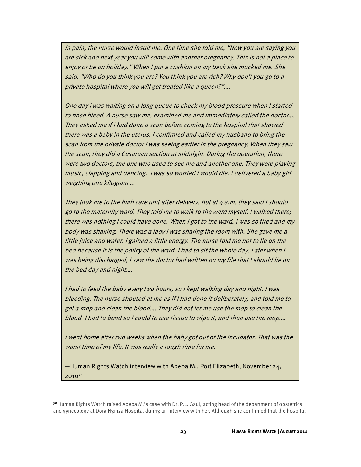in pain, the nurse would insult me. One time she told me, "Now you are saying you are sick and next year you will come with another pregnancy. This is not a place to enjoy or be on holiday." When I put a cushion on my back she mocked me. She said, "Who do you think you are? You think you are rich? Why don't you go to a private hospital where you will get treated like a queen?"….

One day I was waiting on a long queue to check my blood pressure when I started to nose bleed. A nurse saw me, examined me and immediately called the doctor…. They asked me if I had done a scan before coming to the hospital that showed there was a baby in the uterus. I confirmed and called my husband to bring the scan from the private doctor I was seeing earlier in the pregnancy. When they saw the scan, they did a Cesarean section at midnight. During the operation, there were two doctors, the one who used to see me and another one. They were playing music, clapping and dancing. I was so worried I would die. I delivered a baby girl weighing one kilogram….

They took me to the high care unit after delivery. But at  $4$  a.m. they said I should go to the maternity ward. They told me to walk to the ward myself. I walked there; there was nothing I could have done. When I got to the ward, I was so tired and my body was shaking. There was a lady I was sharing the room with. She gave me a little juice and water. I gained a little energy. The nurse told me not to lie on the bed because it is the policy of the ward. I had to sit the whole day. Later when I was being discharged, I saw the doctor had written on my file that I should lie on the bed day and night….

I had to feed the baby every two hours, so I kept walking day and night. I was bleeding. The nurse shouted at me as if I had done it deliberately, and told me to get a mop and clean the blood…. They did not let me use the mop to clean the blood. I had to bend so I could to use tissue to wipe it, and then use the mop….

I went home after two weeks when the baby got out of the incubator. That was the worst time of my life. It was really a tough time for me.

—Human Rights Watch interview with Abeba M., Port Elizabeth, November 24, 201050

<sup>50</sup> Human Rights Watch raised Abeba M.'s case with Dr. P.L. Gaul, acting head of the department of obstetrics and gynecology at Dora Nginza Hospital during an interview with her. Although she confirmed that the hospital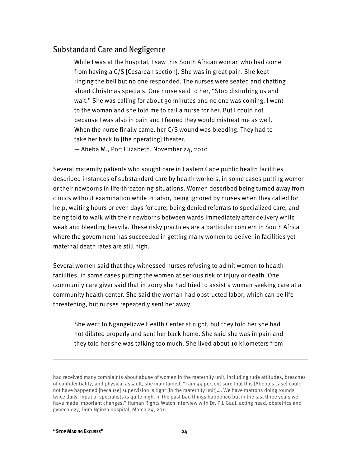#### Substandard Care and Negligence

While I was at the hospital, I saw this South African woman who had come from having a C/S [Cesarean section]. She was in great pain. She kept ringing the bell but no one responded. The nurses were seated and chatting about Christmas specials. One nurse said to her, "Stop disturbing us and wait." She was calling for about 30 minutes and no one was coming. I went to the woman and she told me to call a nurse for her. But I could not because I was also in pain and I feared they would mistreat me as well. When the nurse finally came, her C/S wound was bleeding. They had to take her back to [the operating] theater.

— Abeba M., Port Elizabeth, November 24, 2010

Several maternity patients who sought care in Eastern Cape public health facilities described instances of substandard care by health workers, in some cases putting women or their newborns in life-threatening situations. Women described being turned away from clinics without examination while in labor, being ignored by nurses when they called for help, waiting hours or even days for care, being denied referrals to specialized care, and being told to walk with their newborns between wards immediately after delivery while weak and bleeding heavily. These risky practices are a particular concern in South Africa where the government has succeeded in getting many women to deliver in facilities yet maternal death rates are still high.

Several women said that they witnessed nurses refusing to admit women to health facilities, in some cases putting the women at serious risk of injury or death. One community care giver said that in 2009 she had tried to assist a woman seeking care at a community health center. She said the woman had obstructed labor, which can be life threatening, but nurses repeatedly sent her away:

She went to Ngangelizwe Health Center at night, but they told her she had not dilated properly and sent her back home. She said she was in pain and they told her she was talking too much. She lived about 10 kilometers from

1

had received many complaints about abuse of women in the maternity unit, including rude attitudes, breaches of confidentiality, and physical assault, she maintained, "I am 99 percent sure that this [Abeba's case] could not have happened [because] supervision is tight [in the maternity unit]…. We have matrons doing rounds twice daily. Input of specialists is quite high. In the past bad things happened but in the last three years we have made important changes." Human Rights Watch interview with Dr. P.L Gaul, acting head, obstetrics and gynecology, Dora Nginza hospital, March 29, 2011.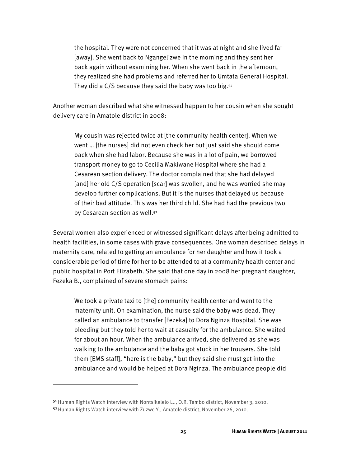the hospital. They were not concerned that it was at night and she lived far [away]. She went back to Ngangelizwe in the morning and they sent her back again without examining her. When she went back in the afternoon, they realized she had problems and referred her to Umtata General Hospital. They did a  $C/S$  because they said the baby was too big.<sup>51</sup>

Another woman described what she witnessed happen to her cousin when she sought delivery care in Amatole district in 2008:

My cousin was rejected twice at [the community health center]. When we went … [the nurses] did not even check her but just said she should come back when she had labor. Because she was in a lot of pain, we borrowed transport money to go to Cecilia Makiwane Hospital where she had a Cesarean section delivery. The doctor complained that she had delayed [and] her old C/S operation [scar] was swollen, and he was worried she may develop further complications. But it is the nurses that delayed us because of their bad attitude. This was her third child. She had had the previous two by Cesarean section as well.<sup>52</sup>

Several women also experienced or witnessed significant delays after being admitted to health facilities, in some cases with grave consequences. One woman described delays in maternity care, related to getting an ambulance for her daughter and how it took a considerable period of time for her to be attended to at a community health center and public hospital in Port Elizabeth. She said that one day in 2008 her pregnant daughter, Fezeka B., complained of severe stomach pains:

We took a private taxi to [the] community health center and went to the maternity unit. On examination, the nurse said the baby was dead. They called an ambulance to transfer [Fezeka] to Dora Nginza Hospital. She was bleeding but they told her to wait at casualty for the ambulance. She waited for about an hour. When the ambulance arrived, she delivered as she was walking to the ambulance and the baby got stuck in her trousers. She told them [EMS staff], "here is the baby," but they said she must get into the ambulance and would be helped at Dora Nginza. The ambulance people did

<sup>51</sup> Human Rights Watch interview with Nontsikelelo L.., O.R. Tambo district, November 3, 2010. 52 Human Rights Watch interview with Zuzwe Y., Amatole district, November 26, 2010.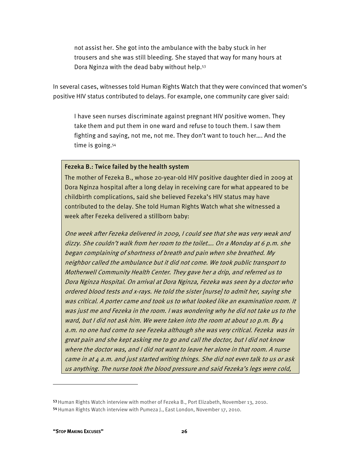not assist her. She got into the ambulance with the baby stuck in her trousers and she was still bleeding. She stayed that way for many hours at Dora Nginza with the dead baby without help.53

In several cases, witnesses told Human Rights Watch that they were convinced that women's positive HIV status contributed to delays. For example, one community care giver said:

I have seen nurses discriminate against pregnant HIV positive women. They take them and put them in one ward and refuse to touch them. I saw them fighting and saying, not me, not me. They don't want to touch her…. And the time is going.54

#### Fezeka B.: Twice failed by the health system

The mother of Fezeka B., whose 20-year-old HIV positive daughter died in 2009 at Dora Nginza hospital after a long delay in receiving care for what appeared to be childbirth complications, said she believed Fezeka's HIV status may have contributed to the delay. She told Human Rights Watch what she witnessed a week after Fezeka delivered a stillborn baby:

One week after Fezeka delivered in 2009, I could see that she was very weak and dizzy. She couldn't walk from her room to the toilet…. On a Monday at 6 p.m. she began complaining of shortness of breath and pain when she breathed. My neighbor called the ambulance but it did not come. We took public transport to Motherwell Community Health Center. They gave her a drip, and referred us to Dora Nginza Hospital. On arrival at Dora Nginza, Fezeka was seen by a doctor who ordered blood tests and x-rays. He told the sister [nurse] to admit her, saying she was critical. A porter came and took us to what looked like an examination room. It was just me and Fezeka in the room. I was wondering why he did not take us to the ward, but I did not ask him. We were taken into the room at about 10 p.m. By 4 a.m. no one had come to see Fezeka although she was very critical. Fezeka was in great pain and she kept asking me to go and call the doctor, but I did not know where the doctor was, and I did not want to leave her alone in that room. A nurse came in at 4 a.m. and just started writing things. She did not even talk to us or ask us anything. The nurse took the blood pressure and said Fezeka's legs were cold,

<sup>53</sup> Human Rights Watch interview with mother of Fezeka B., Port Elizabeth, November 13, 2010. 54 Human Rights Watch interview with Pumeza J., East London, November 17, 2010.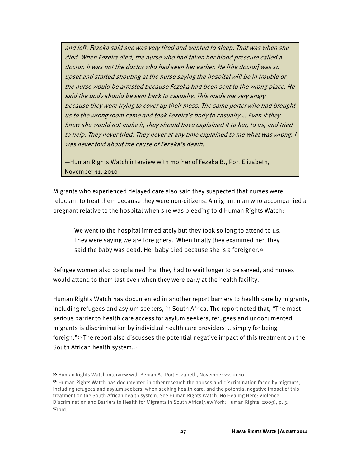and left. Fezeka said she was very tired and wanted to sleep. That was when she died. When Fezeka died, the nurse who had taken her blood pressure called a doctor. It was not the doctor who had seen her earlier. He [the doctor] was so upset and started shouting at the nurse saying the hospital will be in trouble or the nurse would be arrested because Fezeka had been sent to the wrong place. He said the body should be sent back to casualty. This made me very angry because they were trying to cover up their mess. The same porter who had brought us to the wrong room came and took Fezeka's body to casualty…. Even if they knew she would not make it, they should have explained it to her, to us, and tried to help. They never tried. They never at any time explained to me what was wrong. I was never told about the cause of Fezeka's death.

—Human Rights Watch interview with mother of Fezeka B., Port Elizabeth, November 11, 2010

Migrants who experienced delayed care also said they suspected that nurses were reluctant to treat them because they were non-citizens. A migrant man who accompanied a pregnant relative to the hospital when she was bleeding told Human Rights Watch:

We went to the hospital immediately but they took so long to attend to us. They were saying we are foreigners. When finally they examined her, they said the baby was dead. Her baby died because she is a foreigner.<sup>55</sup>

Refugee women also complained that they had to wait longer to be served, and nurses would attend to them last even when they were early at the health facility.

Human Rights Watch has documented in another report barriers to health care by migrants, including refugees and asylum seekers, in South Africa. The report noted that, "The most serious barrier to health care access for asylum seekers, refugees and undocumented migrants is discrimination by individual health care providers … simply for being foreign."56 The report also discusses the potential negative impact of this treatment on the South African health system.57

-

<sup>55</sup> Human Rights Watch interview with Benian A., Port Elizabeth, November 22, 2010.

<sup>56</sup> Human Rights Watch has documented in other research the abuses and discrimination faced by migrants, including refugees and asylum seekers, when seeking health care, and the potential negative impact of this treatment on the South African health system. See Human Rights Watch, No Healing Here: Violence, Discrimination and Barriers to Health for Migrants in South Africa(New York: Human Rights, 2009), p. 5.  $57$  $b$ id.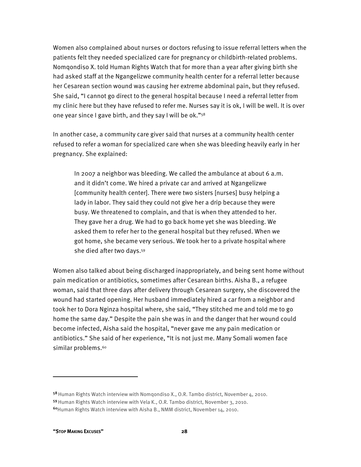Women also complained about nurses or doctors refusing to issue referral letters when the patients felt they needed specialized care for pregnancy or childbirth-related problems. Nomqondiso X. told Human Rights Watch that for more than a year after giving birth she had asked staff at the Ngangelizwe community health center for a referral letter because her Cesarean section wound was causing her extreme abdominal pain, but they refused. She said, "I cannot go direct to the general hospital because I need a referral letter from my clinic here but they have refused to refer me. Nurses say it is ok, I will be well. It is over one year since I gave birth, and they say I will be ok."58

In another case, a community care giver said that nurses at a community health center refused to refer a woman for specialized care when she was bleeding heavily early in her pregnancy. She explained:

In 2007 a neighbor was bleeding. We called the ambulance at about 6 a.m. and it didn't come. We hired a private car and arrived at Ngangelizwe [community health center]. There were two sisters [nurses] busy helping a lady in labor. They said they could not give her a drip because they were busy. We threatened to complain, and that is when they attended to her. They gave her a drug. We had to go back home yet she was bleeding. We asked them to refer her to the general hospital but they refused. When we got home, she became very serious. We took her to a private hospital where she died after two days.59

Women also talked about being discharged inappropriately, and being sent home without pain medication or antibiotics, sometimes after Cesarean births. Aisha B., a refugee woman, said that three days after delivery through Cesarean surgery, she discovered the wound had started opening. Her husband immediately hired a car from a neighbor and took her to Dora Nginza hospital where, she said, "They stitched me and told me to go home the same day." Despite the pain she was in and the danger that her wound could become infected, Aisha said the hospital, "never gave me any pain medication or antibiotics." She said of her experience, "It is not just me. Many Somali women face similar problems.<sup>60</sup>

<sup>58</sup> Human Rights Watch interview with Nomqondiso X., O.R. Tambo district, November 4, 2010. 59 Human Rights Watch interview with Vela K., O.R. Tambo district, November 3, 2010. <sup>60</sup>Human Rights Watch interview with Aisha B., NMM district, November 14, 2010.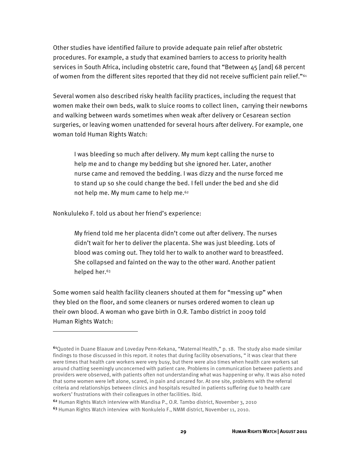Other studies have identified failure to provide adequate pain relief after obstetric procedures. For example, a study that examined barriers to access to priority health services in South Africa, including obstetric care, found that "Between 45 [and] 68 percent of women from the different sites reported that they did not receive sufficient pain relief."61

Several women also described risky health facility practices, including the request that women make their own beds, walk to sluice rooms to collect linen, carrying their newborns and walking between wards sometimes when weak after delivery or Cesarean section surgeries, or leaving women unattended for several hours after delivery. For example, one woman told Human Rights Watch:

I was bleeding so much after delivery. My mum kept calling the nurse to help me and to change my bedding but she ignored her. Later, another nurse came and removed the bedding. I was dizzy and the nurse forced me to stand up so she could change the bed. I fell under the bed and she did not help me. My mum came to help me.<sup>62</sup>

Nonkululeko F. told us about her friend's experience:

1

My friend told me her placenta didn't come out after delivery. The nurses didn't wait for her to deliver the placenta. She was just bleeding. Lots of blood was coming out. They told her to walk to another ward to breastfeed. She collapsed and fainted on the way to the other ward. Another patient helped her.<sup>63</sup>

Some women said health facility cleaners shouted at them for "messing up" when they bled on the floor, and some cleaners or nurses ordered women to clean up their own blood. A woman who gave birth in O.R. Tambo district in 2009 told Human Rights Watch:

<sup>61</sup>Quoted in Duane Blaauw and Loveday Penn-Kekana, "Maternal Health," p. 18. The study also made similar findings to those discussed in this report. it notes that during facility observations, " it was clear that there were times that health care workers were very busy, but there were also times when health care workers sat around chatting seemingly unconcerned with patient care. Problems in communication between patients and providers were observed, with patients often not understanding what was happening or why. It was also noted that some women were left alone, scared, in pain and uncared for. At one site, problems with the referral criteria and relationships between clinics and hospitals resulted in patients suffering due to health care workers' frustrations with their colleagues in other facilities. Ibid.

<sup>62</sup> Human Rights Watch interview with Mandisa P., O.R. Tambo district, November 3, 2010

<sup>63</sup> Human Rights Watch interview with Nonkulelo F., NMM district, November 11, 2010.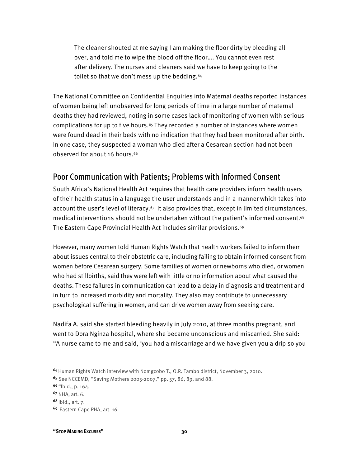The cleaner shouted at me saying I am making the floor dirty by bleeding all over, and told me to wipe the blood off the floor…. You cannot even rest after delivery. The nurses and cleaners said we have to keep going to the toilet so that we don't mess up the bedding.<sup>64</sup>

The National Committee on Confidential Enquiries into Maternal deaths reported instances of women being left unobserved for long periods of time in a large number of maternal deaths they had reviewed, noting in some cases lack of monitoring of women with serious complications for up to five hours.<sup> $65$ </sup> They recorded a number of instances where women were found dead in their beds with no indication that they had been monitored after birth. In one case, they suspected a woman who died after a Cesarean section had not been observed for about 16 hours.66

#### Poor Communication with Patients; Problems with Informed Consent

South Africa's National Health Act requires that health care providers inform health users of their health status in a language the user understands and in a manner which takes into account the user's level of literacy.<sup>67</sup> It also provides that, except in limited circumstances, medical interventions should not be undertaken without the patient's informed consent.68 The Eastern Cape Provincial Health Act includes similar provisions.<sup>69</sup>

However, many women told Human Rights Watch that health workers failed to inform them about issues central to their obstetric care, including failing to obtain informed consent from women before Cesarean surgery. Some families of women or newborns who died, or women who had stillbirths, said they were left with little or no information about what caused the deaths. These failures in communication can lead to a delay in diagnosis and treatment and in turn to increased morbidity and mortality. They also may contribute to unnecessary psychological suffering in women, and can drive women away from seeking care.

Nadifa A. said she started bleeding heavily in July 2010, at three months pregnant, and went to Dora Nginza hospital, where she became unconscious and miscarried. She said: "A nurse came to me and said, 'you had a miscarriage and we have given you a drip so you

-

**"STOP MAKING EXCUSES" 30** 

<sup>64</sup>Human Rights Watch interview with Nomgcobo T., O.R. Tambo district, November 3, 2010.

<sup>65</sup> See NCCEMD, "Saving Mothers 2005-2007," pp. 57, 86, 89, and 88.

<sup>66</sup>"Ibid., p. 164.

<sup>67</sup> NHA, art. 6.

<sup>68</sup>Ibid., art. 7.

<sup>69</sup> Eastern Cape PHA, art. 16.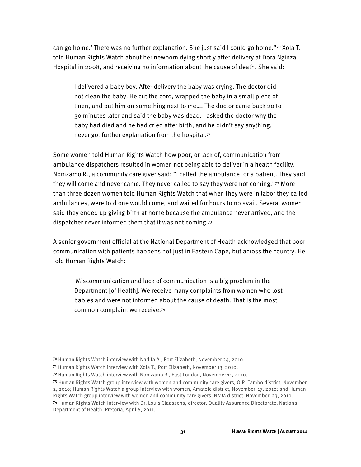can go home.' There was no further explanation. She just said I could go home."70 Xola T. told Human Rights Watch about her newborn dying shortly after delivery at Dora Nginza Hospital in 2008, and receiving no information about the cause of death. She said:

I delivered a baby boy. After delivery the baby was crying. The doctor did not clean the baby. He cut the cord, wrapped the baby in a small piece of linen, and put him on something next to me…. The doctor came back 20 to 30 minutes later and said the baby was dead. I asked the doctor why the baby had died and he had cried after birth, and he didn't say anything. I never got further explanation from the hospital.71

Some women told Human Rights Watch how poor, or lack of, communication from ambulance dispatchers resulted in women not being able to deliver in a health facility. Nomzamo R., a community care giver said: "I called the ambulance for a patient. They said they will come and never came. They never called to say they were not coming."72 More than three dozen women told Human Rights Watch that when they were in labor they called ambulances, were told one would come, and waited for hours to no avail. Several women said they ended up giving birth at home because the ambulance never arrived, and the dispatcher never informed them that it was not coming.73

A senior government official at the National Department of Health acknowledged that poor communication with patients happens not just in Eastern Cape, but across the country. He told Human Rights Watch:

 Miscommunication and lack of communication is a big problem in the Department [of Health]. We receive many complaints from women who lost babies and were not informed about the cause of death. That is the most common complaint we receive.74

<sup>7</sup>º Human Rights Watch interview with Nadifa A., Port Elizabeth, November 24, 2010.

<sup>71</sup> Human Rights Watch interview with Xola T., Port Elizabeth, November 13, 2010.

<sup>72</sup> Human Rights Watch interview with Nomzamo R., East London, November 11, 2010.

<sup>73</sup> Human Rights Watch group interview with women and community care givers, O.R. Tambo district, November 2, 201o; Human Rights Watch a group interview with women, Amatole district, November 17, 201o; and Human Rights Watch group interview with women and community care givers, NMM district, November 23, 201o.

<sup>74</sup> Human Rights Watch interview with Dr. Louis Claassens, director, Quality Assurance Directorate, National Department of Health, Pretoria, April 6, 2011.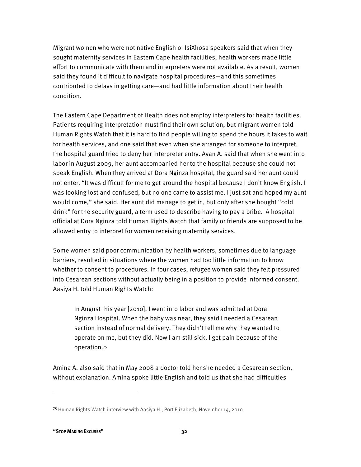Migrant women who were not native English or IsiXhosa speakers said that when they sought maternity services in Eastern Cape health facilities, health workers made little effort to communicate with them and interpreters were not available. As a result, women said they found it difficult to navigate hospital procedures—and this sometimes contributed to delays in getting care—and had little information about their health condition.

The Eastern Cape Department of Health does not employ interpreters for health facilities. Patients requiring interpretation must find their own solution, but migrant women told Human Rights Watch that it is hard to find people willing to spend the hours it takes to wait for health services, and one said that even when she arranged for someone to interpret, the hospital guard tried to deny her interpreter entry. Ayan A. said that when she went into labor in August 2009, her aunt accompanied her to the hospital because she could not speak English. When they arrived at Dora Nginza hospital, the guard said her aunt could not enter. "It was difficult for me to get around the hospital because I don't know English. I was looking lost and confused, but no one came to assist me. I just sat and hoped my aunt would come," she said. Her aunt did manage to get in, but only after she bought "cold drink" for the security guard, a term used to describe having to pay a bribe. A hospital official at Dora Nginza told Human Rights Watch that family or friends are supposed to be allowed entry to interpret for women receiving maternity services.

Some women said poor communication by health workers, sometimes due to language barriers, resulted in situations where the women had too little information to know whether to consent to procedures. In four cases, refugee women said they felt pressured into Cesarean sections without actually being in a position to provide informed consent. Aasiya H. told Human Rights Watch:

In August this year [2010], I went into labor and was admitted at Dora Nginza Hospital. When the baby was near, they said I needed a Cesarean section instead of normal delivery. They didn't tell me why they wanted to operate on me, but they did. Now I am still sick. I get pain because of the operation.75

Amina A. also said that in May 2008 a doctor told her she needed a Cesarean section, without explanation. Amina spoke little English and told us that she had difficulties

<sup>75</sup> Human Rights Watch interview with Aasiya H., Port Elizabeth, November 14, 2010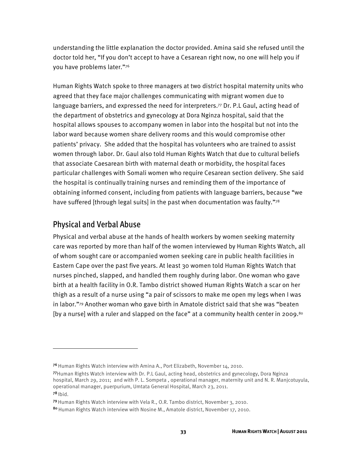understanding the little explanation the doctor provided. Amina said she refused until the doctor told her, "If you don't accept to have a Cesarean right now, no one will help you if you have problems later."76

Human Rights Watch spoke to three managers at two district hospital maternity units who agreed that they face major challenges communicating with migrant women due to language barriers, and expressed the need for interpreters.<sup>77</sup> Dr. P.L Gaul, acting head of the department of obstetrics and gynecology at Dora Nginza hospital, said that the hospital allows spouses to accompany women in labor into the hospital but not into the labor ward because women share delivery rooms and this would compromise other patients' privacy. She added that the hospital has volunteers who are trained to assist women through labor. Dr. Gaul also told Human Rights Watch that due to cultural beliefs that associate Caesarean birth with maternal death or morbidity, the hospital faces particular challenges with Somali women who require Cesarean section delivery. She said the hospital is continually training nurses and reminding them of the importance of obtaining informed consent, including from patients with language barriers, because "we have suffered [through legal suits] in the past when documentation was faulty."78

### Physical and Verbal Abuse

 $\overline{a}$ 

Physical and verbal abuse at the hands of health workers by women seeking maternity care was reported by more than half of the women interviewed by Human Rights Watch, all of whom sought care or accompanied women seeking care in public health facilities in Eastern Cape over the past five years. At least 30 women told Human Rights Watch that nurses pinched, slapped, and handled them roughly during labor. One woman who gave birth at a health facility in O.R. Tambo district showed Human Rights Watch a scar on her thigh as a result of a nurse using "a pair of scissors to make me open my legs when I was in labor."79 Another woman who gave birth in Amatole district said that she was "beaten [by a nurse] with a ruler and slapped on the face" at a community health center in 2009.<sup>80</sup>

<sup>76</sup> Human Rights Watch interview with Amina A., Port Elizabeth, November 14, 2010.

<sup>77</sup>Human Rights Watch interview with Dr. P.L Gaul, acting head, obstetrics and gynecology, Dora Nginza hospital, March 29, 2011; and with P. L. Sompeta , operational manager, maternity unit and N. R. Manjcotuyula, operational manager, puerpurium, Umtata General Hospital, March 23, 2011.  $78$  Ibid.

<sup>79</sup> Human Rights Watch interview with Vela R., O.R. Tambo district, November 3, 2010.

<sup>80</sup> Human Rights Watch interview with Nosine M., Amatole district, November 17, 2010.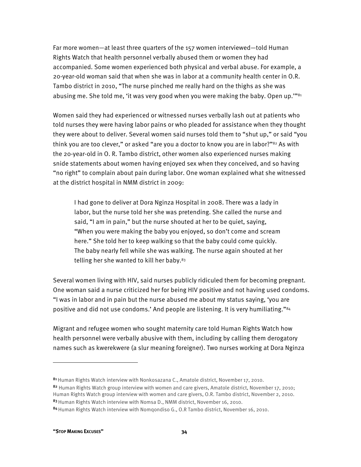Far more women—at least three quarters of the 157 women interviewed—told Human Rights Watch that health personnel verbally abused them or women they had accompanied. Some women experienced both physical and verbal abuse. For example, a 20-year-old woman said that when she was in labor at a community health center in O.R. Tambo district in 2010, "The nurse pinched me really hard on the thighs as she was abusing me. She told me, 'it was very good when you were making the baby. Open up."<sup>81</sup>

Women said they had experienced or witnessed nurses verbally lash out at patients who told nurses they were having labor pains or who pleaded for assistance when they thought they were about to deliver. Several women said nurses told them to "shut up," or said "you think you are too clever," or asked "are you a doctor to know you are in labor?"<sup>82</sup> As with the 20-year-old in O. R. Tambo district, other women also experienced nurses making snide statements about women having enjoyed sex when they conceived, and so having "no right" to complain about pain during labor. One woman explained what she witnessed at the district hospital in NMM district in 2009:

I had gone to deliver at Dora Nginza Hospital in 2008. There was a lady in labor, but the nurse told her she was pretending. She called the nurse and said, "I am in pain," but the nurse shouted at her to be quiet, saying, "When you were making the baby you enjoyed, so don't come and scream here." She told her to keep walking so that the baby could come quickly. The baby nearly fell while she was walking. The nurse again shouted at her telling her she wanted to kill her baby.<sup>83</sup>

Several women living with HIV, said nurses publicly ridiculed them for becoming pregnant. One woman said a nurse criticized her for being HIV positive and not having used condoms. "I was in labor and in pain but the nurse abused me about my status saying, 'you are positive and did not use condoms.' And people are listening. It is very humiliating."84

Migrant and refugee women who sought maternity care told Human Rights Watch how health personnel were verbally abusive with them, including by calling them derogatory names such as kwerekwere (a slur meaning foreigner). Two nurses working at Dora Nginza

-

<sup>81</sup> Human Rights Watch interview with Nonkosazana C., Amatole district, November 17, 2010. 82 Human Rights Watch group interview with women and care givers. Amatole district, November 17, 2010;

Human Rights Watch group interview with women and care givers, O.R. Tambo district, November 2, 2010. 83 Human Rights Watch interview with Nomsa D., NMM district, November 16, 2010.

<sup>84</sup> Human Rights Watch interview with Nomgondiso G., O.R Tambo district, November 16, 2010.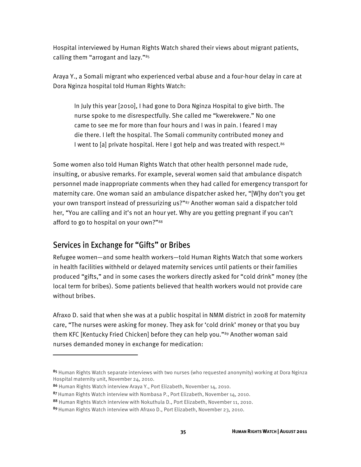Hospital interviewed by Human Rights Watch shared their views about migrant patients, calling them "arrogant and lazy."85

Araya Y., a Somali migrant who experienced verbal abuse and a four-hour delay in care at Dora Nginza hospital told Human Rights Watch:

In July this year [2010], I had gone to Dora Nginza Hospital to give birth. The nurse spoke to me disrespectfully. She called me "kwerekwere." No one came to see me for more than four hours and I was in pain. I feared I may die there. I left the hospital. The Somali community contributed money and I went to [a] private hospital. Here I got help and was treated with respect.<sup>86</sup>

Some women also told Human Rights Watch that other health personnel made rude, insulting, or abusive remarks. For example, several women said that ambulance dispatch personnel made inappropriate comments when they had called for emergency transport for maternity care. One woman said an ambulance dispatcher asked her, "[W]hy don't you get your own transport instead of pressurizing us?"<sup>87</sup> Another woman said a dispatcher told her, "You are calling and it's not an hour yet. Why are you getting pregnant if you can't afford to go to hospital on your own?"88

### Services in Exchange for "Gifts" or Bribes

 $\overline{a}$ 

Refugee women—and some health workers—told Human Rights Watch that some workers in health facilities withheld or delayed maternity services until patients or their families produced "gifts," and in some cases the workers directly asked for "cold drink" money (the local term for bribes). Some patients believed that health workers would not provide care without bribes.

Afraxo D. said that when she was at a public hospital in NMM district in 2008 for maternity care, "The nurses were asking for money. They ask for 'cold drink' money or that you buy them KFC [Kentucky Fried Chicken] before they can help you."89 Another woman said nurses demanded money in exchange for medication:

<sup>85</sup> Human Rights Watch separate interviews with two nurses (who requested anonymity) working at Dora Nginza Hospital maternity unit, November 24, 2010.

<sup>86</sup> Human Rights Watch interview Araya Y., Port Elizabeth, November 14, 2010.

<sup>87</sup> Human Rights Watch interview with Nombasa P., Port Elizabeth, November 14, 2010.

<sup>88</sup> Human Rights Watch interview with Nokuthula D., Port Elizabeth, November 11, 2010.

<sup>89</sup> Human Rights Watch interview with Afraxo D., Port Elizabeth, November 23, 2010.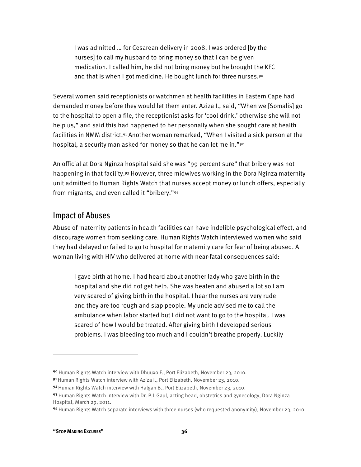I was admitted … for Cesarean delivery in 2008. I was ordered [by the nurses] to call my husband to bring money so that I can be given medication. I called him, he did not bring money but he brought the KFC and that is when I got medicine. He bought lunch for three nurses.<sup>90</sup>

Several women said receptionists or watchmen at health facilities in Eastern Cape had demanded money before they would let them enter. Aziza I., said, "When we [Somalis] go to the hospital to open a file, the receptionist asks for 'cool drink,' otherwise she will not help us," and said this had happened to her personally when she sought care at health facilities in NMM district.91 Another woman remarked, "When I visited a sick person at the hospital, a security man asked for money so that he can let me in."92

An official at Dora Nginza hospital said she was "99 percent sure" that bribery was not happening in that facility.93 However, three midwives working in the Dora Nginza maternity unit admitted to Human Rights Watch that nurses accept money or lunch offers, especially from migrants, and even called it "bribery."94

### Impact of Abuses

Abuse of maternity patients in health facilities can have indelible psychological effect, and discourage women from seeking care. Human Rights Watch interviewed women who said they had delayed or failed to go to hospital for maternity care for fear of being abused. A woman living with HIV who delivered at home with near-fatal consequences said:

I gave birth at home. I had heard about another lady who gave birth in the hospital and she did not get help. She was beaten and abused a lot so I am very scared of giving birth in the hospital. I hear the nurses are very rude and they are too rough and slap people. My uncle advised me to call the ambulance when labor started but I did not want to go to the hospital. I was scared of how I would be treated. After giving birth I developed serious problems. I was bleeding too much and I couldn't breathe properly. Luckily

1

<sup>90</sup> Human Rights Watch interview with Dhuuxo F., Port Elizabeth, November 23, 2010.

<sup>91</sup>Human Rights Watch interview with Aziza I., Port Elizabeth, November 23, 2010.

<sup>92</sup> Human Rights Watch interview with Halgan B., Port Elizabeth, November 23, 2010.

<sup>93</sup> Human Rights Watch interview with Dr. P.L Gaul, acting head, obstetrics and gynecology, Dora Nginza Hospital, March 29, 2011.

<sup>94</sup> Human Rights Watch separate interviews with three nurses (who requested anonymity), November 23, 2010.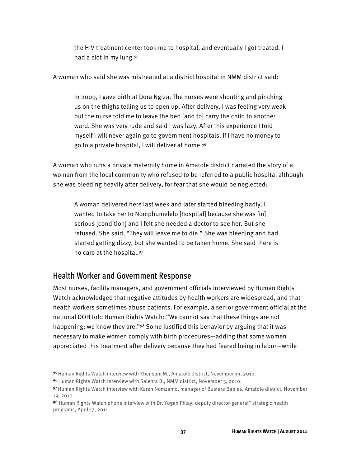the HIV treatment center took me to hospital, and eventually I got treated. I had a clot in my lung.95

A woman who said she was mistreated at a district hospital in NMM district said:

In 2009, I gave birth at Dora Ngiza. The nurses were shouting and pinching us on the thighs telling us to open up. After delivery, I was feeling very weak but the nurse told me to leave the bed [and to] carry the child to another ward. She was very rude and said I was lazy. After this experience I told myself I will never again go to government hospitals. If I have no money to go to a private hospital, I will deliver at home.96

A woman who runs a private maternity home in Amatole district narrated the story of a woman from the local community who refused to be referred to a public hospital although she was bleeding heavily after delivery, for fear that she would be neglected:

A woman delivered here last week and later started bleeding badly. I wanted to take her to Nomphumelelo [hospital] because she was [in] serious [condition] and I felt she needed a doctor to see her. But she refused. She said, "They will leave me to die." She was bleeding and had started getting dizzy, but she wanted to be taken home. She said there is no care at the hospital.97

### Health Worker and Government Response

 $\overline{a}$ 

Most nurses, facility managers, and government officials interviewed by Human Rights Watch acknowledged that negative attitudes by health workers are widespread, and that health workers sometimes abuse patients. For example, a senior government official at the national DOH told Human Rights Watch: "We cannot say that these things are not happening; we know they are."<sup>98</sup> Some justified this behavior by arguing that it was necessary to make women comply with birth procedures—adding that some women appreciated this treatment after delivery because they had feared being in labor—while

<sup>95</sup> Human Rights Watch interview with Khensani M., Amatole district, November 19, 2010.

<sup>96</sup>Human Rights Watch interview with Salenta B., NMM district, November 3, 2010.

<sup>97</sup> Human Rights Watch interview with Karen Nomzamo, manager of Busfare Babies, Amatole district, November 19, 2010.

<sup>98</sup> Human Rights Watch phone interview with Dr. Yogan Pillay, deputy director-general" strategic health programs, April 17, 2011.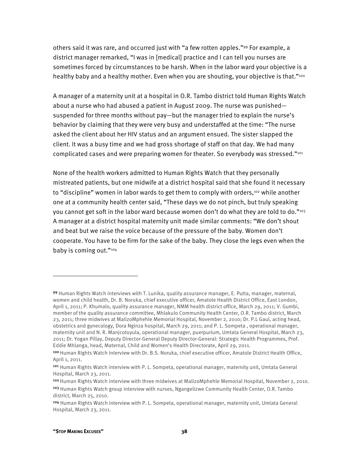others said it was rare, and occurred just with "a few rotten apples."99 For example, a district manager remarked, "I was in [medical] practice and I can tell you nurses are sometimes forced by circumstances to be harsh. When in the labor ward your objective is a healthy baby and a healthy mother. Even when you are shouting, your objective is that."<sup>100</sup>

A manager of a maternity unit at a hospital in O.R. Tambo district told Human Rights Watch about a nurse who had abused a patient in August 2009. The nurse was punished suspended for three months without pay—but the manager tried to explain the nurse's behavior by claiming that they were very busy and understaffed at the time: "The nurse asked the client about her HIV status and an argument ensued. The sister slapped the client. It was a busy time and we had gross shortage of staff on that day. We had many complicated cases and were preparing women for theater. So everybody was stressed."101

None of the health workers admitted to Human Rights Watch that they personally mistreated patients, but one midwife at a district hospital said that she found it necessary to "discipline" women in labor wards to get them to comply with orders,<sup>102</sup> while another one at a community health center said, "These days we do not pinch, but truly speaking you cannot get soft in the labor ward because women don't do what they are told to do."<sup>103</sup> A manager at a district hospital maternity unit made similar comments: "We don't shout and beat but we raise the voice because of the pressure of the baby. Women don't cooperate. You have to be firm for the sake of the baby. They close the legs even when the baby is coming out."104

<sup>99</sup> Human Rights Watch interviews with T. Lunika, quality assurance manager, E. Putta, manager, maternal, women and child health, Dr. B. Noruka, chief executive officer, Amatole Health District Office, East London, April 1, 2011; P. Khumalo, quality assurance manager, NMM health district office, March 29, 2011; V. Gumbi, member of the quality assurance committee, Mhlakulo Community Health Center, O.R. Tambo district, March 23, 2011; three midwives at MalizoMphehle Memorial Hospital, November 2, 2010; Dr. P.L Gaul, acting head, obstetrics and gynecology, Dora Nginza hospital, March 29, 2011; and P. L. Sompeta , operational manager, maternity unit and N. R. Manjcotuyula, operational manager, puerpurium, Umtata General Hospital, March 23, 2011; Dr. Yogan Pillay, Deputy Director-General Deputy Director-General: Strategic Health Programmes, Prof. Eddie Mhlanga, head, Maternal, Child and Women's Health Directorate, April 29, 2011.

<sup>100</sup>Human Rights Watch interview with Dr. B.S. Noruka, chief executive officer, Amatole District Health Office, April 1, 2011.

<sup>101</sup> Human Rights Watch interview with P. L. Sompeta, operational manager, maternity unit, Umtata General Hospital, March 23, 2011.

<sup>102</sup> Human Rights Watch interview with three midwives at MalizoMphehle Memorial Hospital, November 2, 2010.

<sup>&</sup>lt;sup>103</sup> Human Rights Watch group interview with nurses, Ngangelizwe Community Health Center, O.R. Tambo district, March 25, 2010.

<sup>104</sup> Human Rights Watch interview with P. L. Sompeta, operational manager, maternity unit, Umtata General Hospital, March 23, 2011.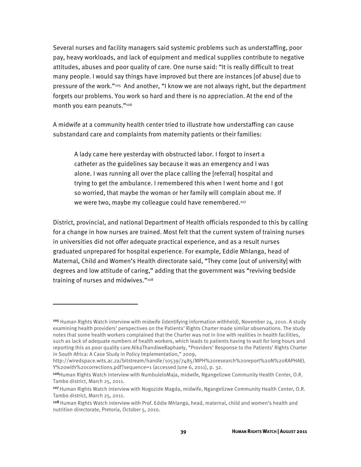Several nurses and facility managers said systemic problems such as understaffing, poor pay, heavy workloads, and lack of equipment and medical supplies contribute to negative attitudes, abuses and poor quality of care. One nurse said: "It is really difficult to treat many people. I would say things have improved but there are instances [of abuse] due to pressure of the work."105 And another, "I know we are not always right, but the department forgets our problems. You work so hard and there is no appreciation. At the end of the month you earn peanuts."106

A midwife at a community health center tried to illustrate how understaffing can cause substandard care and complaints from maternity patients or their families:

A lady came here yesterday with obstructed labor. I forgot to insert a catheter as the guidelines say because it was an emergency and I was alone. I was running all over the place calling the [referral] hospital and trying to get the ambulance. I remembered this when I went home and I got so worried, that maybe the woman or her family will complain about me. If we were two, maybe my colleague could have remembered.<sup>107</sup>

District, provincial, and national Department of Health officials responded to this by calling for a change in how nurses are trained. Most felt that the current system of training nurses in universities did not offer adequate practical experience, and as a result nurses graduated unprepared for hospital experience. For example, Eddie Mhlanga, head of Maternal, Child and Women's Health directorate said, "They come [out of university] with degrees and low attitude of caring," adding that the government was "reviving bedside training of nurses and midwives."108

<sup>105</sup> Human Rights Watch interview with midwife (identifying information withheld), November 24, 2010. A study examining health providers' perspectives on the Patients' Rights Charter made similar observations. The study notes that some health workers complained that the Charter was not in line with realities in health facilities, such as lack of adequate numbers of health workers, which leads to patients having to wait for long hours and reporting this as poor quality care.NikaThandiweRaphaely, "Providers' Response to the Patients' Rights Charter in South Africa: A Case Study in Policy Implementation," 2009,

http://wiredspace.wits.ac.za/bitstream/handle/10539/7485/MPH%20research%20report%20N%20RAPHAEL Y%20with%20corrections.pdf?sequence=1 (accessed June 6, 2011), p. 32.

<sup>106</sup>Human Rights Watch interview with NumbuleloMaja, midwife, Ngangelizwe Community Health Center, O.R. Tambo district, March 25, 2011.

<sup>107</sup> Human Rights Watch interview with Nogozide Magda, midwife, Ngangelizwe Community Health Center, O.R. Tambo district, March 25, 2011.

<sup>108</sup> Human Rights Watch interview with Prof. Eddie Mhlanga, head, maternal, child and women's health and nutrition directorate, Pretoria, October 5, 2010.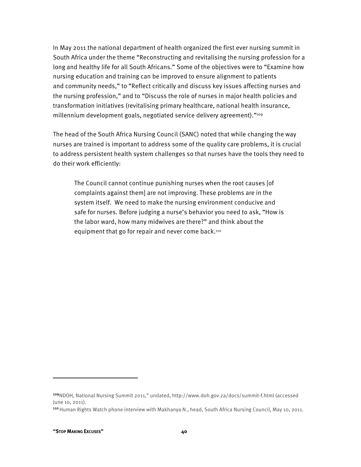In May 2011 the national department of health organized the first ever nursing summit in South Africa under the theme "Reconstructing and revitalising the nursing profession for a long and healthy life for all South Africans." Some of the objectives were to "Examine how nursing education and training can be improved to ensure alignment to patients and community needs," to "Reflect critically and discuss key issues affecting nurses and the nursing profession," and to "Discuss the role of nurses in major health policies and transformation initiatives (revitalising primary healthcare, national health insurance, millennium development goals, negotiated service delivery agreement)."109

The head of the South Africa Nursing Council (SANC) noted that while changing the way nurses are trained is important to address some of the quality care problems, it is crucial to address persistent health system challenges so that nurses have the tools they need to do their work efficiently:

The Council cannot continue punishing nurses when the root causes [of complaints against them] are not improving. These problems are in the system itself. We need to make the nursing environment conducive and safe for nurses. Before judging a nurse's behavior you need to ask, "How is the labor ward, how many midwives are there?" and think about the equipment that go for repair and never come back.110

1

<sup>109</sup>NDOH, National Nursing Summit 2011," undated, http://www.doh.gov.za/docs/summit-f.html (accessed June 10, 2011).

<sup>110</sup> Human Rights Watch phone interview with Makhanya N., head, South Africa Nursing Council, May 10, 2011.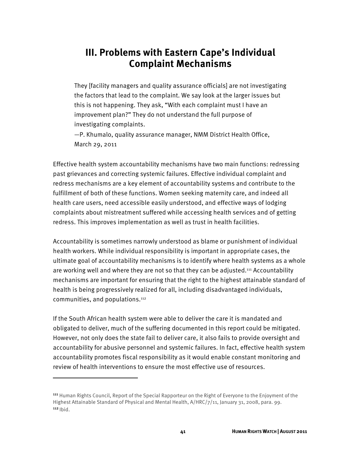# **III. Problems with Eastern Cape's Individual Complaint Mechanisms**

They [facility managers and quality assurance officials] are not investigating the factors that lead to the complaint. We say look at the larger issues but this is not happening. They ask, "With each complaint must I have an improvement plan?" They do not understand the full purpose of investigating complaints.

—P. Khumalo, quality assurance manager, NMM District Health Office, March 29, 2011

Effective health system accountability mechanisms have two main functions: redressing past grievances and correcting systemic failures. Effective individual complaint and redress mechanisms are a key element of accountability systems and contribute to the fulfillment of both of these functions. Women seeking maternity care, and indeed all health care users, need accessible easily understood, and effective ways of lodging complaints about mistreatment suffered while accessing health services and of getting redress. This improves implementation as well as trust in health facilities.

Accountability is sometimes narrowly understood as blame or punishment of individual health workers. While individual responsibility is important in appropriate cases, the ultimate goal of accountability mechanisms is to identify where health systems as a whole are working well and where they are not so that they can be adjusted.111 Accountability mechanisms are important for ensuring that the right to the highest attainable standard of health is being progressively realized for all, including disadvantaged individuals, communities, and populations.112

If the South African health system were able to deliver the care it is mandated and obligated to deliver, much of the suffering documented in this report could be mitigated. However, not only does the state fail to deliver care, it also fails to provide oversight and accountability for abusive personnel and systemic failures. In fact, effective health system accountability promotes fiscal responsibility as it would enable constant monitoring and review of health interventions to ensure the most effective use of resources.

<sup>111</sup> Human Rights Council, Report of the Special Rapporteur on the Right of Everyone to the Enjoyment of the Highest Attainable Standard of Physical and Mental Health, A/HRC/7/11, January 31, 2008, para. 99.  $112$  Ibid.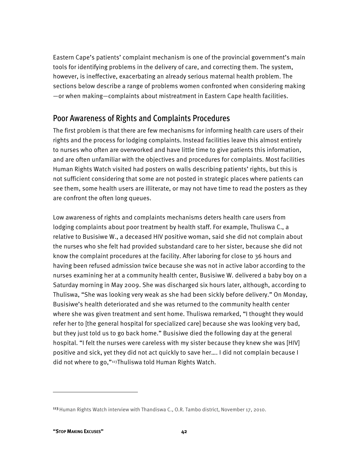Eastern Cape's patients' complaint mechanism is one of the provincial government's main tools for identifying problems in the delivery of care, and correcting them. The system, however, is ineffective, exacerbating an already serious maternal health problem. The sections below describe a range of problems women confronted when considering making —or when making—complaints about mistreatment in Eastern Cape health facilities.

### Poor Awareness of Rights and Complaints Procedures

The first problem is that there are few mechanisms for informing health care users of their rights and the process for lodging complaints. Instead facilities leave this almost entirely to nurses who often are overworked and have little time to give patients this information, and are often unfamiliar with the objectives and procedures for complaints. Most facilities Human Rights Watch visited had posters on walls describing patients' rights, but this is not sufficient considering that some are not posted in strategic places where patients can see them, some health users are illiterate, or may not have time to read the posters as they are confront the often long queues.

Low awareness of rights and complaints mechanisms deters health care users from lodging complaints about poor treatment by health staff. For example, Thuliswa C., a relative to Busisiwe W., a deceased HIV positive woman, said she did not complain about the nurses who she felt had provided substandard care to her sister, because she did not know the complaint procedures at the facility. After laboring for close to 36 hours and having been refused admission twice because she was not in active labor according to the nurses examining her at a community health center, Busisiwe W. delivered a baby boy on a Saturday morning in May 2009. She was discharged six hours later, although, according to Thuliswa, "She was looking very weak as she had been sickly before delivery." On Monday, Busisiwe's health deteriorated and she was returned to the community health center where she was given treatment and sent home. Thuliswa remarked, "I thought they would refer her to [the general hospital for specialized care] because she was looking very bad, but they just told us to go back home." Busisiwe died the following day at the general hospital. "I felt the nurses were careless with my sister because they knew she was [HIV] positive and sick, yet they did not act quickly to save her…. I did not complain because I did not where to go,"113Thuliswa told Human Rights Watch.

<sup>&</sup>lt;sup>113</sup> Human Rights Watch interview with Thandiswa C., O.R. Tambo district, November 17, 2010.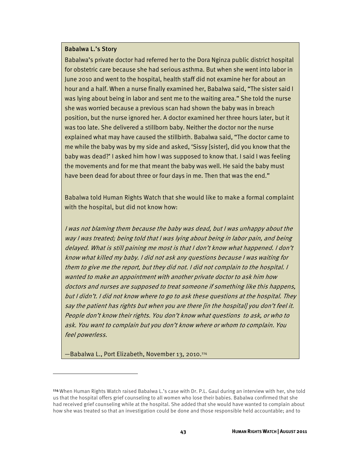#### Babalwa L.'s Story

Babalwa's private doctor had referred her to the Dora Nginza public district hospital for obstetric care because she had serious asthma. But when she went into labor in June 2010 and went to the hospital, health staff did not examine her for about an hour and a half. When a nurse finally examined her, Babalwa said, "The sister said I was lying about being in labor and sent me to the waiting area." She told the nurse she was worried because a previous scan had shown the baby was in breach position, but the nurse ignored her. A doctor examined her three hours later, but it was too late. She delivered a stillborn baby. Neither the doctor nor the nurse explained what may have caused the stillbirth. Babalwa said, "The doctor came to me while the baby was by my side and asked, 'Sissy [sister], did you know that the baby was dead?' I asked him how I was supposed to know that. I said I was feeling the movements and for me that meant the baby was well. He said the baby must have been dead for about three or four days in me. Then that was the end."

Babalwa told Human Rights Watch that she would like to make a formal complaint with the hospital, but did not know how:

I was not blaming them because the baby was dead, but I was unhappy about the way I was treated; being told that I was lying about being in labor pain, and being delayed. What is still paining me most is that I don't know what happened. I don't know what killed my baby. I did not ask any questions because I was waiting for them to give me the report, but they did not. I did not complain to the hospital. I wanted to make an appointment with another private doctor to ask him how doctors and nurses are supposed to treat someone if something like this happens, but I didn't. I did not know where to go to ask these questions at the hospital. They say the patient has rights but when you are there [in the hospital] you don't feel it. People don't know their rights. You don't know what questions to ask, or who to ask. You want to complain but you don't know where or whom to complain. You feel powerless.

—Babalwa L., Port Elizabeth, November 13, 2010.114

<sup>114</sup> When Human Rights Watch raised Babalwa L.'s case with Dr. P.L. Gaul during an interview with her, she told us that the hospital offers grief counseling to all women who lose their babies. Babalwa confirmed that she had received grief counseling while at the hospital. She added that she would have wanted to complain about how she was treated so that an investigation could be done and those responsible held accountable; and to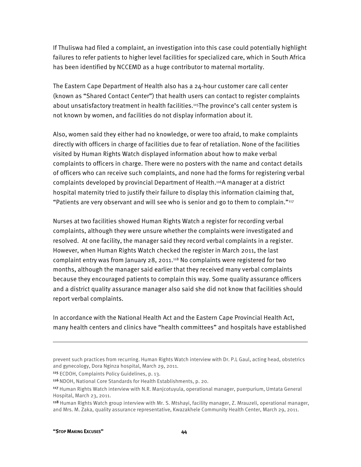If Thuliswa had filed a complaint, an investigation into this case could potentially highlight failures to refer patients to higher level facilities for specialized care, which in South Africa has been identified by NCCEMD as a huge contributor to maternal mortality.

The Eastern Cape Department of Health also has a 24-hour customer care call center (known as "Shared Contact Center") that health users can contact to register complaints about unsatisfactory treatment in health facilities.115The province's call center system is not known by women, and facilities do not display information about it.

Also, women said they either had no knowledge, or were too afraid, to make complaints directly with officers in charge of facilities due to fear of retaliation. None of the facilities visited by Human Rights Watch displayed information about how to make verbal complaints to officers in charge. There were no posters with the name and contact details of officers who can receive such complaints, and none had the forms for registering verbal complaints developed by provincial Department of Health.116A manager at a district hospital maternity tried to justify their failure to display this information claiming that, "Patients are very observant and will see who is senior and go to them to complain."117

Nurses at two facilities showed Human Rights Watch a register for recording verbal complaints, although they were unsure whether the complaints were investigated and resolved. At one facility, the manager said they record verbal complaints in a register. However, when Human Rights Watch checked the register in March 2011, the last complaint entry was from January 28, 2011.118 No complaints were registered for two months, although the manager said earlier that they received many verbal complaints because they encouraged patients to complain this way. Some quality assurance officers and a district quality assurance manager also said she did not know that facilities should report verbal complaints.

In accordance with the National Health Act and the Eastern Cape Provincial Health Act, many health centers and clinics have "health committees" and hospitals have established

prevent such practices from recurring. Human Rights Watch interview with Dr. P.L Gaul, acting head, obstetrics and gynecology, Dora Nginza hospital, March 29, 2011.

<sup>115</sup> ECDOH, Complaints Policy Guidelines, p. 13.

<sup>116</sup> NDOH, National Core Standards for Health Establishments, p. 20.

<sup>117</sup> Human Rights Watch interview with N.R. Manjcotuyula, operational manager, puerpurium, Umtata General Hospital, March 23, 2011.

<sup>118</sup> Human Rights Watch group interview with Mr. S. Mtshayi, facility manager, Z. Mrauzeli, operational manager, and Mrs. M. Zaka, quality assurance representative, Kwazakhele Community Health Center, March 29, 2011.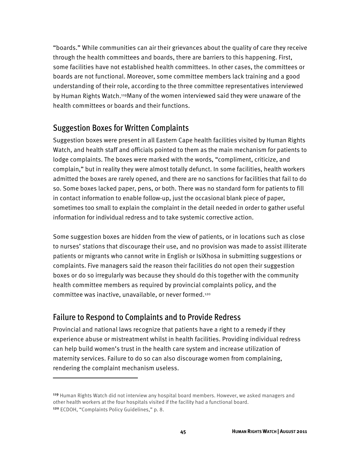"boards." While communities can air their grievances about the quality of care they receive through the health committees and boards, there are barriers to this happening. First, some facilities have not established health committees. In other cases, the committees or boards are not functional. Moreover, some committee members lack training and a good understanding of their role, according to the three committee representatives interviewed by Human Rights Watch.119Many of the women interviewed said they were unaware of the health committees or boards and their functions.

### Suggestion Boxes for Written Complaints

Suggestion boxes were present in all Eastern Cape health facilities visited by Human Rights Watch, and health staff and officials pointed to them as the main mechanism for patients to lodge complaints. The boxes were marked with the words, "compliment, criticize, and complain," but in reality they were almost totally defunct. In some facilities, health workers admitted the boxes are rarely opened, and there are no sanctions for facilities that fail to do so. Some boxes lacked paper, pens, or both. There was no standard form for patients to fill in contact information to enable follow-up, just the occasional blank piece of paper, sometimes too small to explain the complaint in the detail needed in order to gather useful information for individual redress and to take systemic corrective action.

Some suggestion boxes are hidden from the view of patients, or in locations such as close to nurses' stations that discourage their use, and no provision was made to assist illiterate patients or migrants who cannot write in English or IsiXhosa in submitting suggestions or complaints. Five managers said the reason their facilities do not open their suggestion boxes or do so irregularly was because they should do this together with the community health committee members as required by provincial complaints policy, and the committee was inactive, unavailable, or never formed.120

### Failure to Respond to Complaints and to Provide Redress

 $\overline{a}$ 

Provincial and national laws recognize that patients have a right to a remedy if they experience abuse or mistreatment whilst in health facilities. Providing individual redress can help build women's trust in the health care system and increase utilization of maternity services. Failure to do so can also discourage women from complaining, rendering the complaint mechanism useless.

<sup>119</sup> Human Rights Watch did not interview any hospital board members. However, we asked managers and other health workers at the four hospitals visited if the facility had a functional board. <sup>120</sup> ECDOH, "Complaints Policy Guidelines," p. 8.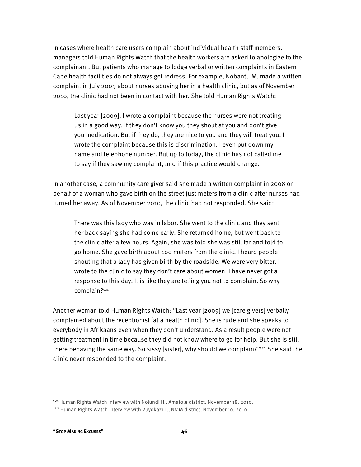In cases where health care users complain about individual health staff members, managers told Human Rights Watch that the health workers are asked to apologize to the complainant. But patients who manage to lodge verbal or written complaints in Eastern Cape health facilities do not always get redress. For example, Nobantu M. made a written complaint in July 2009 about nurses abusing her in a health clinic, but as of November 2010, the clinic had not been in contact with her. She told Human Rights Watch:

Last year [2009], I wrote a complaint because the nurses were not treating us in a good way. If they don't know you they shout at you and don't give you medication. But if they do, they are nice to you and they will treat you. I wrote the complaint because this is discrimination. I even put down my name and telephone number. But up to today, the clinic has not called me to say if they saw my complaint, and if this practice would change.

In another case, a community care giver said she made a written complaint in 2008 on behalf of a woman who gave birth on the street just meters from a clinic after nurses had turned her away. As of November 2010, the clinic had not responded. She said:

There was this lady who was in labor. She went to the clinic and they sent her back saying she had come early. She returned home, but went back to the clinic after a few hours. Again, she was told she was still far and told to go home. She gave birth about 100 meters from the clinic. I heard people shouting that a lady has given birth by the roadside. We were very bitter. I wrote to the clinic to say they don't care about women. I have never got a response to this day. It is like they are telling you not to complain. So why complain?121

Another woman told Human Rights Watch: "Last year [2009] we [care givers] verbally complained about the receptionist [at a health clinic]. She is rude and she speaks to everybody in Afrikaans even when they don't understand. As a result people were not getting treatment in time because they did not know where to go for help. But she is still there behaving the same way. So sissy [sister], why should we complain?"122 She said the clinic never responded to the complaint.

1

<sup>121</sup> Human Rights Watch interview with Nolundi H., Amatole district, November 18, 2010. <sup>122</sup> Human Rights Watch interview with Vuyokazi L., NMM district, November 10, 2010.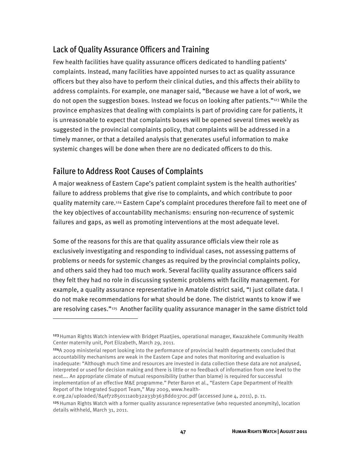# Lack of Quality Assurance Officers and Training

Few health facilities have quality assurance officers dedicated to handling patients' complaints. Instead, many facilities have appointed nurses to act as quality assurance officers but they also have to perform their clinical duties, and this affects their ability to address complaints. For example, one manager said, "Because we have a lot of work, we do not open the suggestion boxes. Instead we focus on looking after patients."<sup>123</sup> While the province emphasizes that dealing with complaints is part of providing care for patients, it is unreasonable to expect that complaints boxes will be opened several times weekly as suggested in the provincial complaints policy, that complaints will be addressed in a timely manner, or that a detailed analysis that generates useful information to make systemic changes will be done when there are no dedicated officers to do this.

## Failure to Address Root Causes of Complaints

1

A major weakness of Eastern Cape's patient complaint system is the health authorities' failure to address problems that give rise to complaints, and which contribute to poor quality maternity care.124 Eastern Cape's complaint procedures therefore fail to meet one of the key objectives of accountability mechanisms: ensuring non-recurrence of systemic failures and gaps, as well as promoting interventions at the most adequate level.

Some of the reasons for this are that quality assurance officials view their role as exclusively investigating and responding to individual cases, not assessing patterns of problems or needs for systemic changes as required by the provincial complaints policy, and others said they had too much work. Several facility quality assurance officers said they felt they had no role in discussing systemic problems with facility management. For example, a quality assurance representative in Amatole district said, "I just collate data. I do not make recommendations for what should be done. The district wants to know if we are resolving cases."125 Another facility quality assurance manager in the same district told

e.org.za/uploaded/84ef72850111a0b32a33b3638dd0370c.pdf (accessed June 4, 2011), p. 11.

<sup>&</sup>lt;sup>123</sup> Human Rights Watch interview with Bridget Plaatjies, operational manager, Kwazakhele Community Health Center maternity unit, Port Elizabeth, March 29, 2011.

<sup>124</sup>A 2009 ministerial report looking into the performance of provincial health departments concluded that accountability mechanisms are weak in the Eastern Cape and notes that monitoring and evaluation is inadequate: "Although much time and resources are invested in data collection these data are not analysed, interpreted or used for decision making and there is little or no feedback of information from one level to the next…. An appropriate climate of mutual responsibility (rather than blame) is required for successful implementation of an effective M&E programme." Peter Baron et al., "Eastern Cape Department of Health Report of the Integrated Support Team," May 2009, www.health-

<sup>125</sup> Human Rights Watch with a former quality assurance representative (who requested anonymity), location details withheld, March 31, 2011.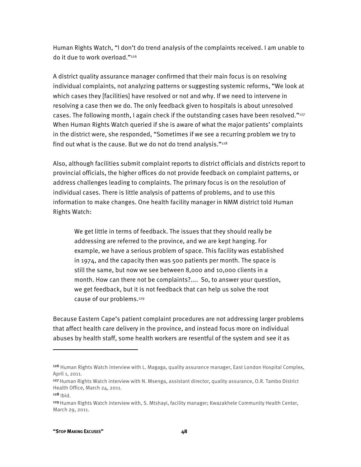Human Rights Watch, "I don't do trend analysis of the complaints received. I am unable to do it due to work overload."126

A district quality assurance manager confirmed that their main focus is on resolving individual complaints, not analyzing patterns or suggesting systemic reforms, "We look at which cases they [facilities] have resolved or not and why. If we need to intervene in resolving a case then we do. The only feedback given to hospitals is about unresolved cases. The following month, I again check if the outstanding cases have been resolved."<sup>127</sup> When Human Rights Watch queried if she is aware of what the major patients' complaints in the district were, she responded, "Sometimes if we see a recurring problem we try to find out what is the cause. But we do not do trend analysis." $128$ 

Also, although facilities submit complaint reports to district officials and districts report to provincial officials, the higher offices do not provide feedback on complaint patterns, or address challenges leading to complaints. The primary focus is on the resolution of individual cases. There is little analysis of patterns of problems, and to use this information to make changes. One health facility manager in NMM district told Human Rights Watch:

We get little in terms of feedback. The issues that they should really be addressing are referred to the province, and we are kept hanging. For example, we have a serious problem of space. This facility was established in 1974, and the capacity then was 500 patients per month. The space is still the same, but now we see between 8,000 and 10,000 clients in a month. How can there not be complaints?.... So, to answer your question, we get feedback, but it is not feedback that can help us solve the root cause of our problems.129

Because Eastern Cape's patient complaint procedures are not addressing larger problems that affect health care delivery in the province, and instead focus more on individual abuses by health staff, some health workers are resentful of the system and see it as

<sup>&</sup>lt;sup>126</sup> Human Rights Watch interview with L. Magaga, quality assurance manager, East London Hospital Complex, April 1, 2011.

<sup>127</sup>Human Rights Watch interview with N. Msenga, assistant director, quality assurance, O.R. Tambo District Health Office, March 24, 2011.

<sup>128</sup> Ibid.

<sup>&</sup>lt;sup>129</sup> Human Rights Watch interview with, S. Mtshayi, facility manager; Kwazakhele Community Health Center, March 29, 2011.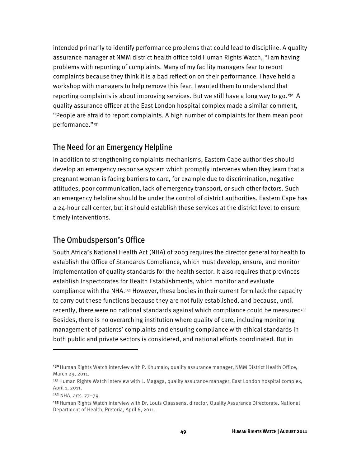intended primarily to identify performance problems that could lead to discipline. A quality assurance manager at NMM district health office told Human Rights Watch, "I am having problems with reporting of complaints. Many of my facility managers fear to report complaints because they think it is a bad reflection on their performance. I have held a workshop with managers to help remove this fear. I wanted them to understand that reporting complaints is about improving services. But we still have a long way to go.130 A quality assurance officer at the East London hospital complex made a similar comment, "People are afraid to report complaints. A high number of complaints for them mean poor performance."131

### The Need for an Emergency Helpline

In addition to strengthening complaints mechanisms, Eastern Cape authorities should develop an emergency response system which promptly intervenes when they learn that a pregnant woman is facing barriers to care, for example due to discrimination, negative attitudes, poor communication, lack of emergency transport, or such other factors. Such an emergency helpline should be under the control of district authorities. Eastern Cape has a 24-hour call center, but it should establish these services at the district level to ensure timely interventions.

### The Ombudsperson's Office

South Africa's National Health Act (NHA) of 2003 requires the director general for health to establish the Office of Standards Compliance, which must develop, ensure, and monitor implementation of quality standards for the health sector. It also requires that provinces establish Inspectorates for Health Establishments, which monitor and evaluate compliance with the NHA.132 However, these bodies in their current form lack the capacity to carry out these functions because they are not fully established, and because, until recently, there were no national standards against which compliance could be measured<sup>133</sup> Besides, there is no overarching institution where quality of care, including monitoring management of patients' complaints and ensuring compliance with ethical standards in both public and private sectors is considered, and national efforts coordinated. But in

1

<sup>130</sup> Human Rights Watch interview with P. Khumalo, quality assurance manager, NMM District Health Office, March 29, 2011.

<sup>131</sup> Human Rights Watch interview with L. Magaga, quality assurance manager, East London hospital complex, April 1, 2011.

<sup>132</sup> NHA, arts. 77–79.

<sup>133</sup> Human Rights Watch interview with Dr. Louis Claassens, director, Quality Assurance Directorate, National Department of Health, Pretoria, April 6, 2011.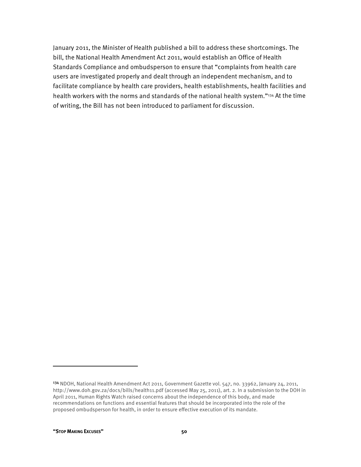January 2011, the Minister of Health published a bill to address these shortcomings. The bill, the National Health Amendment Act 2011, would establish an Office of Health Standards Compliance and ombudsperson to ensure that "complaints from health care users are investigated properly and dealt through an independent mechanism, and to facilitate compliance by health care providers, health establishments, health facilities and health workers with the norms and standards of the national health system."<sup>134</sup> At the time of writing, the Bill has not been introduced to parliament for discussion.

<sup>134</sup> NDOH, National Health Amendment Act 2011, Government Gazette vol. 547, no. 33962, January 24, 2011, http://www.doh.gov.za/docs/bills/health11.pdf (accessed May 25, 2011), art. 2. In a submission to the DOH in April 2011, Human Rights Watch raised concerns about the independence of this body, and made recommendations on functions and essential features that should be incorporated into the role of the proposed ombudsperson for health, in order to ensure effective execution of its mandate.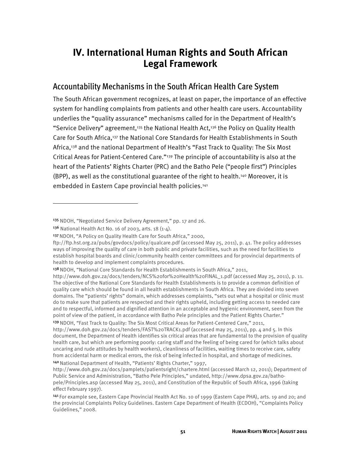# **IV. International Human Rights and South African Legal Framework**

### Accountability Mechanisms in the South African Health Care System

The South African government recognizes, at least on paper, the importance of an effective system for handling complaints from patients and other health care users. Accountability underlies the "quality assurance" mechanisms called for in the Department of Health's "Service Delivery" agreement,135 the National Health Act,136 the Policy on Quality Health Care for South Africa,137 the National Core Standards for Health Establishments in South Africa,138 and the national Department of Health's "Fast Track to Quality: The Six Most Critical Areas for Patient-Centered Care."139 The principle of accountability is also at the heart of the Patients' Rights Charter (PRC) and the Batho Pele ("people first") Principles (BPP), as well as the constitutional guarantee of the right to health.140 Moreover, it is embedded in Eastern Cape provincial health policies.<sup>141</sup>

<sup>135</sup> NDOH, "Negotiated Service Delivery Agreement," pp. 17 and 26.

<sup>136</sup> National Health Act No. 16 of 2003, arts. 18 (1-4).

<sup>137</sup> NDOH, "A Policy on Quality Health Care for South Africa," 2000,

ftp://ftp.hst.org.za/pubs/govdocs/policy/qualcare.pdf (accessed May 25, 2011), p. 41. The policy addresses ways of improving the quality of care in both public and private facilities, such as the need for facilities to establish hospital boards and clinic/community health center committees and for provincial departments of health to develop and implement complaints procedures.

<sup>&</sup>lt;sup>138</sup> NDOH, "National Core Standards for Health Establishments in South Africa," 2011,

http://www.doh.gov.za/docs/tenders/NCS%20for%20Health%20FINAL\_1.pdf (accessed May 25, 2011), p. 11. The objective of the National Core Standards for Health Establishments is to provide a common definition of quality care which should be found in all health establishments in South Africa. They are divided into seven domains. The "patients' rights" domain, which addresses complaints, "sets out what a hospital or clinic must do to make sure that patients are respected and their rights upheld, including getting access to needed care and to respectful, informed and dignified attention in an acceptable and hygienic environment, seen from the point of view of the patient, in accordance with Batho Pele principles and the Patient Rights Charter."

<sup>139</sup>NDOH, "Fast Track to Quality: The Six Most Critical Areas for Patient-Centered Care," 2011, http://www.doh.gov.za/docs/tenders/FAST%20TRACK1.pdf (accessed may 25, 2011), pp. 4 and 5. In this document, the Department of Health identifies six critical areas that are fundamental to the provision of quality health care, but which are performing poorly: caring staff and the feeling of being cared for (which talks about uncaring and rude attitudes by health workers), cleanliness of facilities, waiting times to receive care, safety from accidental harm or medical errors, the risk of being infected in hospital, and shortage of medicines. <sup>140</sup> National Department of Health, "Patients' Rights Charter," 1997,

http://www.doh.gov.za/docs/pamplets/patientsright/chartere.html (accessed March 12, 2011); Department of Public Service and Administration, "Batho Pele Principles," undated, http://www.dpsa.gov.za/bathopele/Principles.asp (accessed May 25, 2011), and Constitution of the Republic of South Africa, 1996 (taking effect February 1997).

<sup>141</sup>For example see, Eastern Cape Provincial Health Act No. 10 of 1999 (Eastern Cape PHA), arts. 19 and 20; and the provincial Complaints Policy Guidelines. Eastern Cape Department of Health (ECDOH), "Complaints Policy Guidelines," 2008.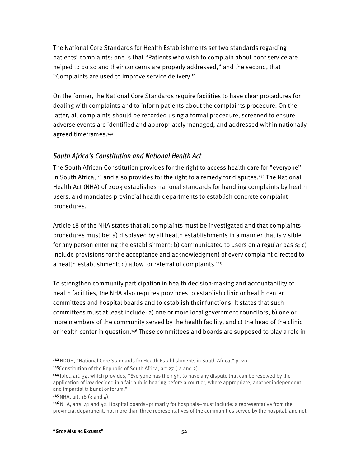The National Core Standards for Health Establishments set two standards regarding patients' complaints: one is that "Patients who wish to complain about poor service are helped to do so and their concerns are properly addressed," and the second, that "Complaints are used to improve service delivery."

On the former, the National Core Standards require facilities to have clear procedures for dealing with complaints and to inform patients about the complaints procedure. On the latter, all complaints should be recorded using a formal procedure, screened to ensure adverse events are identified and appropriately managed, and addressed within nationally agreed timeframes.142

#### *South Africa's Constitution and National Health Act*

The South African Constitution provides for the right to access health care for "everyone" in South Africa,143 and also provides for the right to a remedy for disputes.144 The National Health Act (NHA) of 2003 establishes national standards for handling complaints by health users, and mandates provincial health departments to establish concrete complaint procedures.

Article 18 of the NHA states that all complaints must be investigated and that complaints procedures must be: a) displayed by all health establishments in a manner that is visible for any person entering the establishment; b) communicated to users on a regular basis; c) include provisions for the acceptance and acknowledgment of every complaint directed to a health establishment; d) allow for referral of complaints.145

To strengthen community participation in health decision-making and accountability of health facilities, the NHA also requires provinces to establish clinic or health center committees and hospital boards and to establish their functions. It states that such committees must at least include: a) one or more local government councilors, b) one or more members of the community served by the health facility, and c) the head of the clinic or health center in question.146 These committees and boards are supposed to play a role in

 $145$  NHA, art. 18 (3 and 4).

<sup>142</sup>NDOH, "National Core Standards for Health Establishments in South Africa," p. 20.

<sup>143</sup>Constitution of the Republic of South Africa, art.27 (1a and 2).

<sup>144</sup>Ibid., art. 34, which provides, "Everyone has the right to have any dispute that can be resolved by the application of law decided in a fair public hearing before a court or, where appropriate, another independent and impartial tribunal or forum."

 $146$  NHA, arts. 41 and 42. Hospital boards–primarily for hospitals–must include: a representative from the provincial department, not more than three representatives of the communities served by the hospital, and not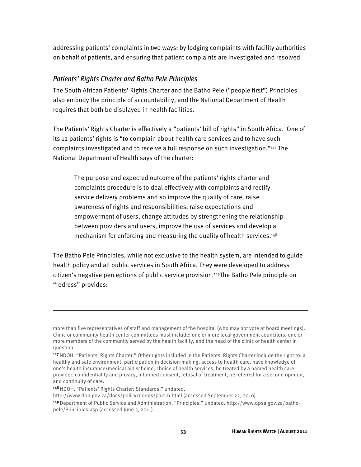addressing patients' complaints in two ways: by lodging complaints with facility authorities on behalf of patients, and ensuring that patient complaints are investigated and resolved.

#### *Patients' Rights Charter and Batho Pele Principles*

The South African Patients' Rights Charter and the Batho Pele ("people first") Principles also embody the principle of accountability, and the National Department of Health requires that both be displayed in health facilities.

The Patients' Rights Charter is effectively a "patients' bill of rights" in South Africa. One of its 12 patients' rights is "to complain about health care services and to have such complaints investigated and to receive a full response on such investigation."147 The National Department of Health says of the charter:

The purpose and expected outcome of the patients' rights charter and complaints procedure is to deal effectively with complaints and rectify service delivery problems and so improve the quality of care, raise awareness of rights and responsibilities, raise expectations and empowerment of users, change attitudes by strengthening the relationship between providers and users, improve the use of services and develop a mechanism for enforcing and measuring the quality of health services.<sup>148</sup>

The Batho Pele Principles, while not exclusive to the health system, are intended to guide health policy and all public services in South Africa. They were developed to address citizen's negative perceptions of public service provision.149The Batho Pele principle on "redress" provides:

148 NDOH, "Patients' Rights Charter: Standards," undated,

more than five representatives of staff and management of the hospital (who may not vote at board meetings). Clinic or community health center committees must include: one or more local government councilors, one or more members of the community served by the health facility, and the head of the clinic or health center in question.

<sup>147</sup>NDOH, "Patients' Rights Charter." Other rights included in the Patients' Rights Charter include the right to: a healthy and safe environment, participation in decision-making, access to health care, have knowledge of one's health insurance/medical aid scheme, choice of health services, be treated by a named health care provider, confidentiality and privacy, informed consent, refusal of treatment, be referred for a second opinion, and continuity of care.

http://www.doh.gov.za/docs/policy/norms/part1b.html (accessed September 22, 2010).

<sup>149</sup>Department of Public Service and Administration, "Principles," undated, http://www.dpsa.gov.za/bathopele/Principles.asp (accessed June 3, 2011).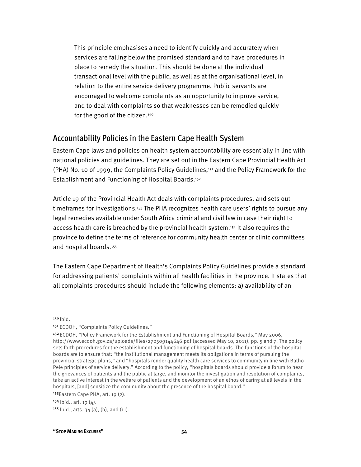This principle emphasises a need to identify quickly and accurately when services are falling below the promised standard and to have procedures in place to remedy the situation. This should be done at the individual transactional level with the public, as well as at the organisational level, in relation to the entire service delivery programme. Public servants are encouraged to welcome complaints as an opportunity to improve service, and to deal with complaints so that weaknesses can be remedied quickly for the good of the citizen.150

### Accountability Policies in the Eastern Cape Health System

Eastern Cape laws and policies on health system accountability are essentially in line with national policies and guidelines. They are set out in the Eastern Cape Provincial Health Act (PHA) No. 10 of 1999, the Complaints Policy Guidelines,151 and the Policy Framework for the Establishment and Functioning of Hospital Boards.152

Article 19 of the Provincial Health Act deals with complaints procedures, and sets out timeframes for investigations.153 The PHA recognizes health care users' rights to pursue any legal remedies available under South Africa criminal and civil law in case their right to access health care is breached by the provincial health system.154 It also requires the province to define the terms of reference for community health center or clinic committees and hospital boards.155

The Eastern Cape Department of Health's Complaints Policy Guidelines provide a standard for addressing patients' complaints within all health facilities in the province. It states that all complaints procedures should include the following elements: a) availability of an

 $150$  |bid.

1

<sup>153</sup>Eastern Cape PHA, art. 19 (2).

 $155$  Ibid., arts. 34 (a), (b), and (11).

<sup>151</sup> ECDOH, "Complaints Policy Guidelines."

<sup>152</sup>ECDOH, "Policy Framework for the Establishment and Functioning of Hospital Boards," May 2006, http://www.ecdoh.gov.za/uploads/files/270509144646.pdf (accessed May 10, 2011), pp. 5 and 7. The policy sets forth procedures for the establishment and functioning of hospital boards. The functions of the hospital boards are to ensure that: "the institutional management meets its obligations in terms of pursuing the provincial strategic plans," and "hospitals render quality health care services to community in line with Batho Pele principles of service delivery." According to the policy, "hospitals boards should provide a forum to hear the grievances of patients and the public at large, and monitor the investigation and resolution of complaints, take an active interest in the welfare of patients and the development of an ethos of caring at all levels in the hospitals, [and] sensitize the community about the presence of the hospital board."

 $154$  Ibid., art. 19 (4).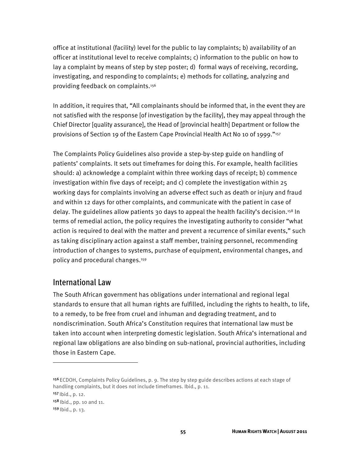office at institutional (facility) level for the public to lay complaints; b) availability of an officer at institutional level to receive complaints; c) information to the public on how to lay a complaint by means of step by step poster; d) formal ways of receiving, recording, investigating, and responding to complaints; e) methods for collating, analyzing and providing feedback on complaints.156

In addition, it requires that, "All complainants should be informed that, in the event they are not satisfied with the response [of investigation by the facility], they may appeal through the Chief Director [quality assurance], the Head of [provincial health] Department or follow the provisions of Section 19 of the Eastern Cape Provincial Health Act No 10 of 1999."157

The Complaints Policy Guidelines also provide a step-by-step guide on handling of patients' complaints. It sets out timeframes for doing this. For example, health facilities should: a) acknowledge a complaint within three working days of receipt; b) commence investigation within five days of receipt; and c) complete the investigation within 25 working days for complaints involving an adverse effect such as death or injury and fraud and within 12 days for other complaints, and communicate with the patient in case of delay. The guidelines allow patients 30 days to appeal the health facility's decision.158 In terms of remedial action, the policy requires the investigating authority to consider "what action is required to deal with the matter and prevent a recurrence of similar events," such as taking disciplinary action against a staff member, training personnel, recommending introduction of changes to systems, purchase of equipment, environmental changes, and policy and procedural changes.159

#### International Law

The South African government has obligations under international and regional legal standards to ensure that all human rights are fulfilled, including the rights to health, to life, to a remedy, to be free from cruel and inhuman and degrading treatment, and to nondiscrimination. South Africa's Constitution requires that international law must be taken into account when interpreting domestic legislation. South Africa's international and regional law obligations are also binding on sub-national, provincial authorities, including those in Eastern Cape.

<sup>156</sup>ECDOH, Complaints Policy Guidelines, p. 9. The step by step guide describes actions at each stage of handling complaints, but it does not include timeframes. Ibid., p. 11.

<sup>157</sup>Ibid., p. 12.

<sup>158</sup> Ibid., pp. 10 and 11.

 $159$  | bid., p. 13.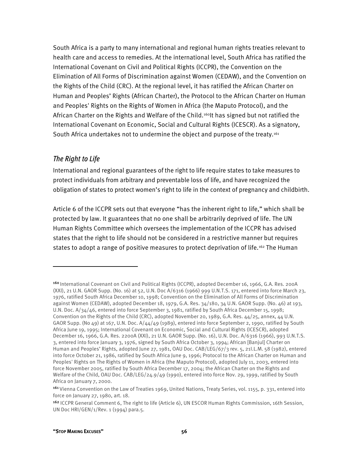South Africa is a party to many international and regional human rights treaties relevant to health care and access to remedies. At the international level, South Africa has ratified the International Covenant on Civil and Political Rights (ICCPR), the Convention on the Elimination of All Forms of Discrimination against Women (CEDAW), and the Convention on the Rights of the Child (CRC). At the regional level, it has ratified the African Charter on Human and Peoples' Rights (African Charter), the Protocol to the African Charter on Human and Peoples' Rights on the Rights of Women in Africa (the Maputo Protocol), and the African Charter on the Rights and Welfare of the Child.<sup>160</sup>lt has signed but not ratified the International Covenant on Economic, Social and Cultural Rights (ICESCR). As a signatory, South Africa undertakes not to undermine the object and purpose of the treaty.161

#### *The Right to Life*

1

International and regional guarantees of the right to life require states to take measures to protect individuals from arbitrary and preventable loss of life, and have recognized the obligation of states to protect women's right to life in the context of pregnancy and childbirth.

Article 6 of the ICCPR sets out that everyone "has the inherent right to life," which shall be protected by law. It guarantees that no one shall be arbitrarily deprived of life. The UN Human Rights Committee which oversees the implementation of the ICCPR has advised states that the right to life should not be considered in a restrictive manner but requires states to adopt a range of positive measures to protect deprivation of life.<sup>162</sup> The Human

<sup>&</sup>lt;sup>160</sup> International Covenant on Civil and Political Rights (ICCPR), adopted December 16, 1966, G.A. Res. 200A (XXI), 21 U.N. GAOR Supp. (No. 16) at 52, U.N. Doc A/6316 (1966) 999 U.N.T.S. 171, entered into force March 23, 1976, ratified South Africa December 10, 1998; Convention on the Elimination of All Forms of Discrimination against Women (CEDAW), adopted December 18, 1979, G.A. Res. 34/180, 34 U.N. GAOR Supp. (No. 46) at 193, U.N. Doc. A/34/46, entered into force September 3, 1981, ratified by South Africa December 15, 1998; Convention on the Rights of the Child (CRC), adopted November 20, 1989, G.A. Res. 44/25, annex, 44 U.N. GAOR Supp. (No 49) at 167, U.N. Doc. A/44/49 (1989), entered into force September 2, 1990, ratified by South Africa June 19, 1995; International Covenant on Economic, Social and Cultural Rights (ICESCR), adopted December 16, 1966, G.A. Res. 2200A (XXI), 21 U.N. GAOR Supp. (No. 16), U.N. Doc. A/6316 (1966), 993 U.N.T.S. 3, entered into force January 3, 1976, signed by South Africa October 3, 1994; African [Banjul] Charter on Human and Peoples' Rights, adopted June 27, 1981, OAU Doc. CAB/LEG/67/3 rev. 5, 21I.L.M. 58 (1982), entered into force October 21, 1986, ratified by South Africa June 9, 1996; Protocol to the African Charter on Human and Peoples' Rights on The Rights of Women in Africa (the Maputo Protocol), adopted July 11, 2003, entered into force November 2005, ratified by South Africa December 17, 2004; the African Charter on the Rights and Welfare of the Child, OAU Doc. CAB/LEG/24.9/49 (1990), entered into force Nov. 29, 1999, ratified by South Africa on January 7, 2000.

<sup>161</sup> Vienna Convention on the Law of Treaties 1969, United Nations, Treaty Series, vol. 1155, p. 331, entered into force on January 27, 1980, art. 18.

<sup>162</sup> ICCPR General Comment 6, The right to life (Article 6), UN ESCOR Human Rights Commission, 16th Session, UN Doc HRI/GEN/1/Rev. 1 (1994) para.5.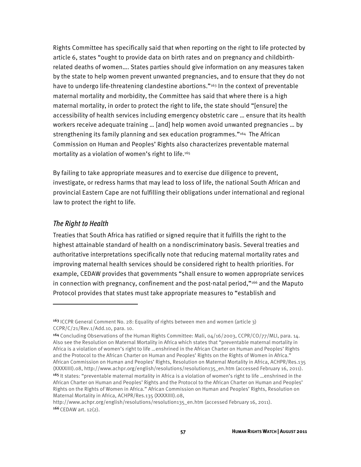Rights Committee has specifically said that when reporting on the right to life protected by article 6, states "ought to provide data on birth rates and on pregnancy and childbirthrelated deaths of women…. States parties should give information on any measures taken by the state to help women prevent unwanted pregnancies, and to ensure that they do not have to undergo life-threatening clandestine abortions."163 In the context of preventable maternal mortality and morbidity, the Committee has said that where there is a high maternal mortality, in order to protect the right to life, the state should "[ensure] the accessibility of health services including emergency obstetric care … ensure that its health workers receive adequate training … [and] help women avoid unwanted pregnancies … by strengthening its family planning and sex education programmes."<sup>164</sup> The African Commission on Human and Peoples' Rights also characterizes preventable maternal mortality as a violation of women's right to life.165

By failing to take appropriate measures and to exercise due diligence to prevent, investigate, or redress harms that may lead to loss of life, the national South African and provincial Eastern Cape are not fulfilling their obligations under international and regional law to protect the right to life.

#### *The Right to Health*

 $\overline{a}$ 

Treaties that South Africa has ratified or signed require that it fulfills the right to the highest attainable standard of health on a nondiscriminatory basis. Several treaties and authoritative interpretations specifically note that reducing maternal mortality rates and improving maternal health services should be considered right to health priorities. For example, CEDAW provides that governments "shall ensure to women appropriate services in connection with pregnancy, confinement and the post-natal period," $166$  and the Maputo Protocol provides that states must take appropriate measures to "establish and

<sup>&</sup>lt;sup>163</sup> ICCPR General Comment No. 28: Equality of rights between men and women (article  $3$ ) CCPR/C/21/Rev.1/Add.10, para. 10.

<sup>164</sup> Concluding Observations of the Human Rights Committee: Mali, 04/16/2003, CCPR/CO/77/MLI, para. 14. Also see the Resolution on Maternal Mortality in Africa which states that "preventable maternal mortality in Africa is a violation of women's right to life …enshrined in the African Charter on Human and Peoples' Rights and the Protocol to the African Charter on Human and Peoples' Rights on the Rights of Women in Africa." African Commission on Human and Peoples' Rights, Resolution on Maternal Mortality in Africa, ACHPR/Res.135 (XXXXIIII).08, http://www.achpr.org/english/resolutions/resolution135\_en.htm (accessed February 16, 2011). <sup>165</sup> It states: "preventable maternal mortality in Africa is a violation of women's right to life …enshrined in the African Charter on Human and Peoples' Rights and the Protocol to the African Charter on Human and Peoples' Rights on the Rights of Women in Africa." African Commission on Human and Peoples' Rights, Resolution on Maternal Mortality in Africa, ACHPR/Res.135 (XXXXIIII).08,

http://www.achpr.org/english/resolutions/resolution135\_en.htm (accessed February 16, 2011).  $166$  CEDAW art.  $12(2)$ .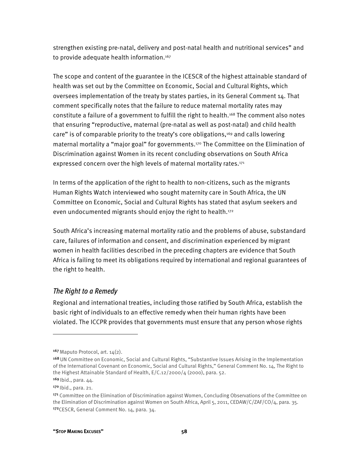strengthen existing pre-natal, delivery and post-natal health and nutritional services" and to provide adequate health information.<sup>167</sup>

The scope and content of the guarantee in the ICESCR of the highest attainable standard of health was set out by the Committee on Economic, Social and Cultural Rights, which oversees implementation of the treaty by states parties, in its General Comment 14. That comment specifically notes that the failure to reduce maternal mortality rates may constitute a failure of a government to fulfill the right to health.168 The comment also notes that ensuring "reproductive, maternal (pre-natal as well as post-natal) and child health care" is of comparable priority to the treaty's core obligations, $169$  and calls lowering maternal mortality a "major goal" for governments.170 The Committee on the Elimination of Discrimination against Women in its recent concluding observations on South Africa expressed concern over the high levels of maternal mortality rates.<sup>171</sup>

In terms of the application of the right to health to non-citizens, such as the migrants Human Rights Watch interviewed who sought maternity care in South Africa, the UN Committee on Economic, Social and Cultural Rights has stated that asylum seekers and even undocumented migrants should enjoy the right to health.<sup>172</sup>

South Africa's increasing maternal mortality ratio and the problems of abuse, substandard care, failures of information and consent, and discrimination experienced by migrant women in health facilities described in the preceding chapters are evidence that South Africa is failing to meet its obligations required by international and regional guarantees of the right to health.

#### *The Right to a Remedy*

Regional and international treaties, including those ratified by South Africa, establish the basic right of individuals to an effective remedy when their human rights have been violated. The ICCPR provides that governments must ensure that any person whose rights

 $167$  Maputo Protocol, art.  $14(2)$ .

<sup>168</sup>UN Committee on Economic, Social and Cultural Rights, "Substantive Issues Arising in the Implementation of the International Covenant on Economic, Social and Cultural Rights," General Comment No. 14, The Right to the Highest Attainable Standard of Health, E/C.12/2000/4 (2000), para. 52.

<sup>169</sup> Ibid., para. 44.

<sup>170</sup> Ibid., para. 21.

<sup>171</sup> Committee on the Elimination of Discrimination against Women, Concluding Observations of the Committee on the Elimination of Discrimination against Women on South Africa, April 5, 2011, CEDAW/C/ZAF/CO/4, para. 35. <sup>172</sup>CESCR, General Comment No. 14, para. 34.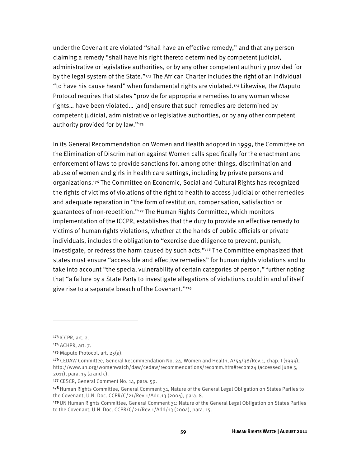under the Covenant are violated "shall have an effective remedy," and that any person claiming a remedy "shall have his right thereto determined by competent judicial, administrative or legislative authorities, or by any other competent authority provided for by the legal system of the State."173 The African Charter includes the right of an individual "to have his cause heard" when fundamental rights are violated.174 Likewise, the Maputo Protocol requires that states "provide for appropriate remedies to any woman whose rights… have been violated… [and] ensure that such remedies are determined by competent judicial, administrative or legislative authorities, or by any other competent authority provided for by law."175

In its General Recommendation on Women and Health adopted in 1999, the Committee on the Elimination of Discrimination against Women calls specifically for the enactment and enforcement of laws to provide sanctions for, among other things, discrimination and abuse of women and girls in health care settings, including by private persons and organizations.176 The Committee on Economic, Social and Cultural Rights has recognized the rights of victims of violations of the right to health to access judicial or other remedies and adequate reparation in "the form of restitution, compensation, satisfaction or guarantees of non-repetition."177 The Human Rights Committee, which monitors implementation of the ICCPR, establishes that the duty to provide an effective remedy to victims of human rights violations, whether at the hands of public officials or private individuals, includes the obligation to "exercise due diligence to prevent, punish, investigate, or redress the harm caused by such acts." $178$  The Committee emphasized that states must ensure "accessible and effective remedies" for human rights violations and to take into account "the special vulnerability of certain categories of person," further noting that "a failure by a State Party to investigate allegations of violations could in and of itself give rise to a separate breach of the Covenant."179

-

<sup>173 |</sup> CCPR, art. 2.

<sup>174</sup> ACHPR, art. 7.

<sup>175</sup> Maputo Protocol, art. 25(a).

<sup>&</sup>lt;sup>176</sup> CEDAW Committee, General Recommendation No. 24, Women and Health,  $A/54/38/Rev.1$ , chap. I (1999), http://www.un.org/womenwatch/daw/cedaw/recommendations/recomm.htm#recom24 (accessed June 5, 2011), para. 15 (a and c).

<sup>177</sup> CESCR, General Comment No. 14, para. 59.

<sup>178</sup> Human Rights Committee, General Comment 31, Nature of the General Legal Obligation on States Parties to the Covenant, U.N. Doc. CCPR/C/21/Rev.1/Add.13 (2004), para. 8.

<sup>179</sup>UN Human Rights Committee, General Comment 31: Nature of the General Legal Obligation on States Parties to the Covenant, U.N. Doc. CCPR/C/21/Rev.1/Add/13 (2004), para. 15.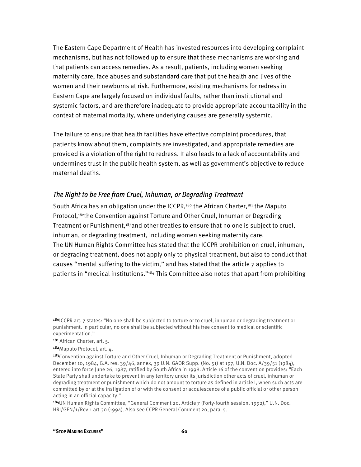The Eastern Cape Department of Health has invested resources into developing complaint mechanisms, but has not followed up to ensure that these mechanisms are working and that patients can access remedies. As a result, patients, including women seeking maternity care, face abuses and substandard care that put the health and lives of the women and their newborns at risk. Furthermore, existing mechanisms for redress in Eastern Cape are largely focused on individual faults, rather than institutional and systemic factors, and are therefore inadequate to provide appropriate accountability in the context of maternal mortality, where underlying causes are generally systemic.

The failure to ensure that health facilities have effective complaint procedures, that patients know about them, complaints are investigated, and appropriate remedies are provided is a violation of the right to redress. It also leads to a lack of accountability and undermines trust in the public health system, as well as government's objective to reduce maternal deaths.

#### *The Right to be Free from Cruel, Inhuman, or Degrading Treatment*

South Africa has an obligation under the ICCPR,<sup>180</sup> the African Charter,<sup>181</sup> the Maputo Protocol,182the Convention against Torture and Other Cruel, Inhuman or Degrading Treatment or Punishment,183and other treaties to ensure that no one is subject to cruel, inhuman, or degrading treatment, including women seeking maternity care. The UN Human Rights Committee has stated that the ICCPR prohibition on cruel, inhuman, or degrading treatment, does not apply only to physical treatment, but also to conduct that causes "mental suffering to the victim," and has stated that the article 7 applies to patients in "medical institutions."<sup>184</sup> This Committee also notes that apart from prohibiting

1

<sup>180</sup>ICCPR art. 7 states: "No one shall be subjected to torture or to cruel, inhuman or degrading treatment or punishment. In particular, no one shall be subjected without his free consent to medical or scientific experimentation."

<sup>181</sup>African Charter, art. 5.

<sup>182</sup> Maputo Protocol, art. 4.

<sup>&</sup>lt;sup>183</sup>Convention against Torture and Other Cruel, Inhuman or Degrading Treatment or Punishment, adopted December 10, 1984, G.A. res. 39/46, annex, 39 U.N. GAOR Supp. (No. 51) at 197, U.N. Doc. A/39/51 (1984), entered into force June 26, 1987, ratified by South Africa in 1998. Article 16 of the convention provides: "Each State Party shall undertake to prevent in any territory under its jurisdiction other acts of cruel, inhuman or degrading treatment or punishment which do not amount to torture as defined in article I, when such acts are committed by or at the instigation of or with the consent or acquiescence of a public official or other person acting in an official capacity."

<sup>184</sup>UN Human Rights Committee, "General Comment 20, Article 7 (Forty-fourth session, 1992)," U.N. Doc. HRI/GEN/1/Rev.1 art.30 (1994). Also see CCPR General Comment 20, para. 5.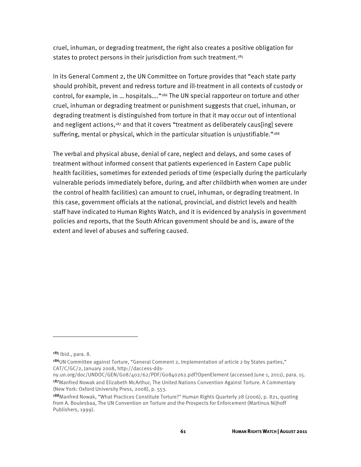cruel, inhuman, or degrading treatment, the right also creates a positive obligation for states to protect persons in their jurisdiction from such treatment.<sup>185</sup>

In its General Comment 2, the UN Committee on Torture provides that "each state party should prohibit, prevent and redress torture and ill-treatment in all contexts of custody or control, for example, in … hospitals…."186 The UN special rapporteur on torture and other cruel, inhuman or degrading treatment or punishment suggests that cruel, inhuman, or degrading treatment is distinguished from torture in that it may occur out of intentional and negligent actions,<sup>187</sup> and that it covers "treatment as deliberately caus[ing] severe suffering, mental or physical, which in the particular situation is unjustifiable."<sup>188</sup>

The verbal and physical abuse, denial of care, neglect and delays, and some cases of treatment without informed consent that patients experienced in Eastern Cape public health facilities, sometimes for extended periods of time (especially during the particularly vulnerable periods immediately before, during, and after childbirth when women are under the control of health facilities) can amount to cruel, inhuman, or degrading treatment. In this case, government officials at the national, provincial, and district levels and health staff have indicated to Human Rights Watch, and it is evidenced by analysis in government policies and reports, that the South African government should be and is, aware of the extent and level of abuses and suffering caused.

1

<sup>185</sup> Ibid., para. 8.

<sup>186</sup>UN Committee against Torture, "General Comment 2, Implementation of article 2 by States parties," CAT/C/GC/2, January 2008, http://daccess-dds-

ny.un.org/doc/UNDOC/GEN/G08/402/62/PDF/G0840262.pdf?OpenElement (accessed June 1, 2011), para. 15. <sup>187</sup>Manfred Nowak and Elizabeth McArthur, The United Nations Convention Against Torture. A Commentary (New York: Oxford University Press, 2008), p. 553.

<sup>188</sup>Manfred Nowak, "What Practices Constitute Torture?" Human Rights Quarterly 28 (2006), p. 821, quoting from A. Boulesbaa, The UN Convention on Torture and the Prospects for Enforcement (Martinus Nijhoff Publishers, 1999).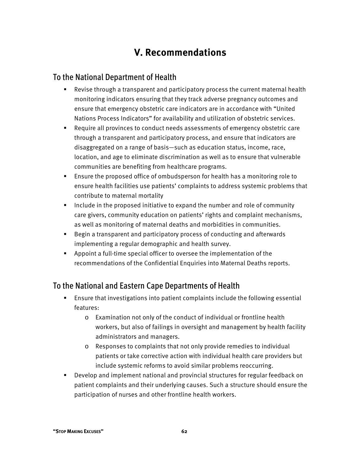# **V. Recommendations**

### To the National Department of Health

- Revise through a transparent and participatory process the current maternal health monitoring indicators ensuring that they track adverse pregnancy outcomes and ensure that emergency obstetric care indicators are in accordance with "United Nations Process Indicators" for availability and utilization of obstetric services.
- Require all provinces to conduct needs assessments of emergency obstetric care through a transparent and participatory process, and ensure that indicators are disaggregated on a range of basis—such as education status, income, race, location, and age to eliminate discrimination as well as to ensure that vulnerable communities are benefiting from healthcare programs.
- Ensure the proposed office of ombudsperson for health has a monitoring role to ensure health facilities use patients' complaints to address systemic problems that contribute to maternal mortality
- Include in the proposed initiative to expand the number and role of community care givers, community education on patients' rights and complaint mechanisms, as well as monitoring of maternal deaths and morbidities in communities.
- Begin a transparent and participatory process of conducting and afterwards implementing a regular demographic and health survey.
- Appoint a full-time special officer to oversee the implementation of the recommendations of the Confidential Enquiries into Maternal Deaths reports.

## To the National and Eastern Cape Departments of Health

- Ensure that investigations into patient complaints include the following essential features:
	- o Examination not only of the conduct of individual or frontline health workers, but also of failings in oversight and management by health facility administrators and managers.
	- o Responses to complaints that not only provide remedies to individual patients or take corrective action with individual health care providers but include systemic reforms to avoid similar problems reoccurring.
- Develop and implement national and provincial structures for regular feedback on patient complaints and their underlying causes. Such a structure should ensure the participation of nurses and other frontline health workers.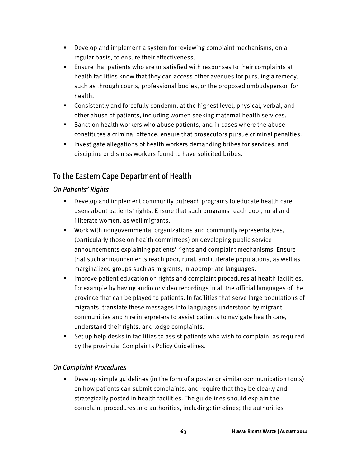- Develop and implement a system for reviewing complaint mechanisms, on a regular basis, to ensure their effectiveness.
- Ensure that patients who are unsatisfied with responses to their complaints at health facilities know that they can access other avenues for pursuing a remedy, such as through courts, professional bodies, or the proposed ombudsperson for health.
- Consistently and forcefully condemn, at the highest level, physical, verbal, and other abuse of patients, including women seeking maternal health services.
- Sanction health workers who abuse patients, and in cases where the abuse constitutes a criminal offence, ensure that prosecutors pursue criminal penalties.
- **Investigate allegations of health workers demanding bribes for services, and** discipline or dismiss workers found to have solicited bribes.

# To the Eastern Cape Department of Health

### *On Patients' Rights*

- Develop and implement community outreach programs to educate health care users about patients' rights. Ensure that such programs reach poor, rural and illiterate women, as well migrants.
- Work with nongovernmental organizations and community representatives, (particularly those on health committees) on developing public service announcements explaining patients' rights and complaint mechanisms. Ensure that such announcements reach poor, rural, and illiterate populations, as well as marginalized groups such as migrants, in appropriate languages.
- **IMPROVE patient education on rights and complaint procedures at health facilities,** for example by having audio or video recordings in all the official languages of the province that can be played to patients. In facilities that serve large populations of migrants, translate these messages into languages understood by migrant communities and hire interpreters to assist patients to navigate health care, understand their rights, and lodge complaints.
- Set up help desks in facilities to assist patients who wish to complain, as required by the provincial Complaints Policy Guidelines.

### *On Complaint Procedures*

 Develop simple guidelines (in the form of a poster or similar communication tools) on how patients can submit complaints, and require that they be clearly and strategically posted in health facilities. The guidelines should explain the complaint procedures and authorities, including: timelines; the authorities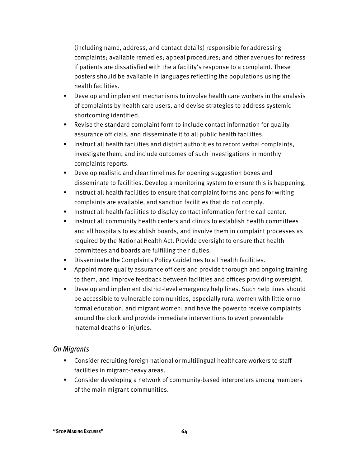(including name, address, and contact details) responsible for addressing complaints; available remedies; appeal procedures; and other avenues for redress if patients are dissatisfied with the a facility's response to a complaint. These posters should be available in languages reflecting the populations using the health facilities.

- Develop and implement mechanisms to involve health care workers in the analysis of complaints by health care users, and devise strategies to address systemic shortcoming identified.
- Revise the standard complaint form to include contact information for quality assurance officials, and disseminate it to all public health facilities.
- **Instruct all health facilities and district authorities to record verbal complaints,** investigate them, and include outcomes of such investigations in monthly complaints reports.
- Develop realistic and clear timelines for opening suggestion boxes and disseminate to facilities. Develop a monitoring system to ensure this is happening.
- **Instruct all health facilities to ensure that complaint forms and pens for writing** complaints are available, and sanction facilities that do not comply.
- **Instruct all health facilities to display contact information for the call center.**
- Instruct all community health centers and clinics to establish health committees and all hospitals to establish boards, and involve them in complaint processes as required by the National Health Act. Provide oversight to ensure that health committees and boards are fulfilling their duties.
- Disseminate the Complaints Policy Guidelines to all health facilities.
- Appoint more quality assurance officers and provide thorough and ongoing training to them, and improve feedback between facilities and offices providing oversight.
- Develop and implement district-level emergency help lines. Such help lines should be accessible to vulnerable communities, especially rural women with little or no formal education, and migrant women; and have the power to receive complaints around the clock and provide immediate interventions to avert preventable maternal deaths or injuries.

#### *On Migrants*

- Consider recruiting foreign national or multilingual healthcare workers to staff facilities in migrant-heavy areas.
- Consider developing a network of community-based interpreters among members of the main migrant communities.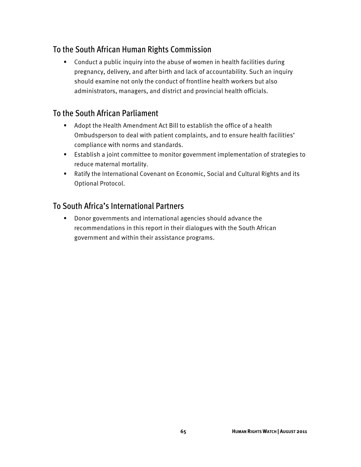# To the South African Human Rights Commission

 Conduct a public inquiry into the abuse of women in health facilities during pregnancy, delivery, and after birth and lack of accountability. Such an inquiry should examine not only the conduct of frontline health workers but also administrators, managers, and district and provincial health officials.

## To the South African Parliament

- Adopt the Health Amendment Act Bill to establish the office of a health Ombudsperson to deal with patient complaints, and to ensure health facilities' compliance with norms and standards.
- Establish a joint committee to monitor government implementation of strategies to reduce maternal mortality.
- Ratify the International Covenant on Economic, Social and Cultural Rights and its Optional Protocol.

## To South Africa's International Partners

 Donor governments and international agencies should advance the recommendations in this report in their dialogues with the South African government and within their assistance programs.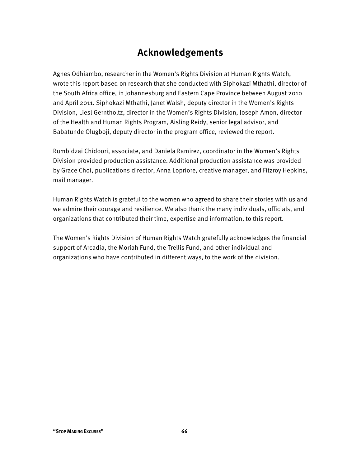# **Acknowledgements**

Agnes Odhiambo, researcher in the Women's Rights Division at Human Rights Watch, wrote this report based on research that she conducted with Siphokazi Mthathi, director of the South Africa office, in Johannesburg and Eastern Cape Province between August 2010 and April 2011. Siphokazi Mthathi, Janet Walsh, deputy director in the Women's Rights Division, Liesl Gerntholtz, director in the Women's Rights Division, Joseph Amon, director of the Health and Human Rights Program, Aisling Reidy, senior legal advisor, and Babatunde Olugboji, deputy director in the program office, reviewed the report.

Rumbidzai Chidoori, associate, and Daniela Ramirez, coordinator in the Women's Rights Division provided production assistance. Additional production assistance was provided by Grace Choi, publications director, Anna Lopriore, creative manager, and Fitzroy Hepkins, mail manager.

Human Rights Watch is grateful to the women who agreed to share their stories with us and we admire their courage and resilience. We also thank the many individuals, officials, and organizations that contributed their time, expertise and information, to this report.

The Women's Rights Division of Human Rights Watch gratefully acknowledges the financial support of Arcadia, the Moriah Fund, the Trellis Fund, and other individual and organizations who have contributed in different ways, to the work of the division.